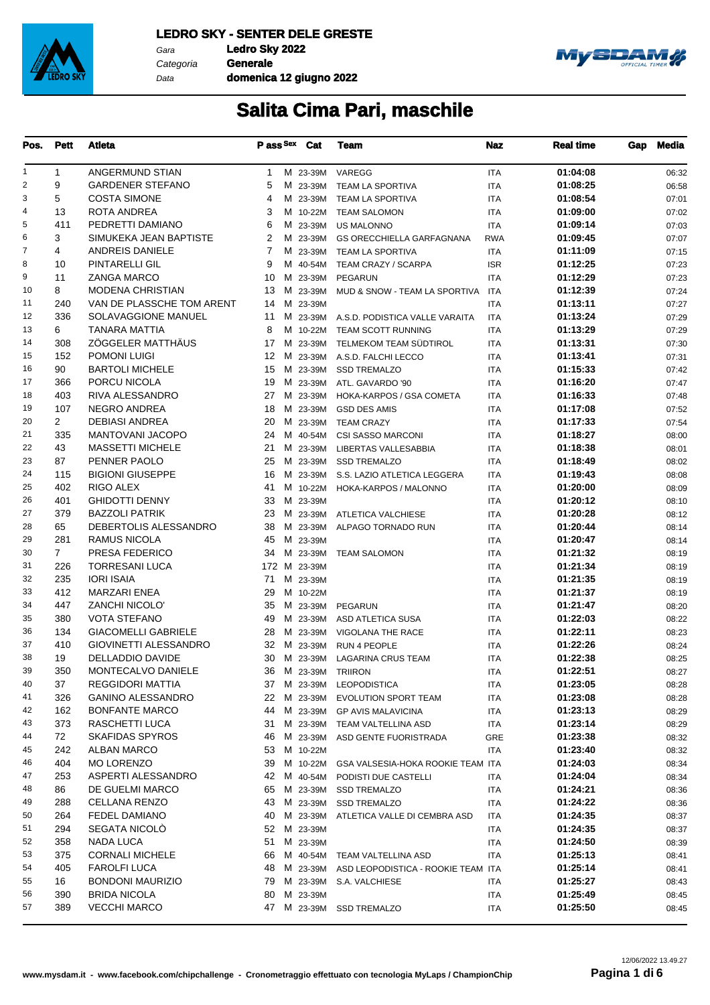

Data

Categoria **Generale domenica 12 giugno 2022**



| Pos.           | <b>Pett</b>    | Atleta                     |    | Pass Sex Cat | Team                                    | <b>Naz</b> | <b>Real time</b>     | Gap | Media          |
|----------------|----------------|----------------------------|----|--------------|-----------------------------------------|------------|----------------------|-----|----------------|
| 1              | 1              | ANGERMUND STIAN            | 1  |              | M 23-39M VAREGG                         | <b>ITA</b> | 01:04:08             |     | 06:32          |
| $\overline{2}$ | 9              | <b>GARDENER STEFANO</b>    | 5  | M 23-39M     | TEAM LA SPORTIVA                        | ITA        | 01:08:25             |     | 06:58          |
| 3              | 5              | <b>COSTA SIMONE</b>        | 4  | M 23-39M     | TEAM LA SPORTIVA                        | ITA        | 01:08:54             |     | 07:01          |
| 4              | 13             | ROTA ANDREA                | 3  | M 10-22M     | <b>TEAM SALOMON</b>                     | <b>ITA</b> | 01:09:00             |     | 07:02          |
| 5              | 411            | PEDRETTI DAMIANO           | 6  | M 23-39M     | <b>US MALONNO</b>                       | ITA        | 01:09:14             |     | 07:03          |
| 6              | 3              | SIMUKEKA JEAN BAPTISTE     | 2  | M 23-39M     | <b>GS ORECCHIELLA GARFAGNANA</b>        | <b>RWA</b> | 01:09:45             |     | 07:07          |
| 7              | 4              | <b>ANDREIS DANIELE</b>     | 7  | M 23-39M     | TEAM LA SPORTIVA                        | ITA        | 01:11:09             |     | 07:15          |
| 8              | 10             | PINTARELLI GIL             | 9  | M 40-54M     | TEAM CRAZY / SCARPA                     | <b>ISR</b> | 01:12:25             |     | 07:23          |
| 9              | 11             | <b>ZANGA MARCO</b>         | 10 | M 23-39M     | <b>PEGARUN</b>                          | <b>ITA</b> | 01:12:29             |     | 07:23          |
| 10             | 8              | <b>MODENA CHRISTIAN</b>    | 13 | M 23-39M     | MUD & SNOW - TEAM LA SPORTIVA           | <b>ITA</b> | 01:12:39             |     | 07:24          |
| 11             | 240            | VAN DE PLASSCHE TOM ARENT  | 14 | M 23-39M     |                                         | ITA        | 01:13:11             |     | 07:27          |
| 12             | 336            | SOLAVAGGIONE MANUEL        | 11 |              | M 23-39M A.S.D. PODISTICA VALLE VARAITA | <b>ITA</b> | 01:13:24             |     | 07:29          |
| 13             | 6              | <b>TANARA MATTIA</b>       | 8  | M 10-22M     | TEAM SCOTT RUNNING                      | <b>ITA</b> | 01:13:29             |     | 07:29          |
| 14             | 308            | ZÖGGELER MATTHÄUS          | 17 | M 23-39M     | TELMEKOM TEAM SÜDTIROL                  | ITA        | 01:13:31             |     | 07:30          |
| 15             | 152            | <b>POMONI LUIGI</b>        |    |              | 12 M 23-39M A.S.D. FALCHI LECCO         | <b>ITA</b> | 01:13:41             |     | 07:31          |
| 16             | 90             | <b>BARTOLI MICHELE</b>     | 15 | M 23-39M     | <b>SSD TREMALZO</b>                     | <b>ITA</b> | 01:15:33             |     | 07:42          |
| 17             | 366            | PORCU NICOLA               | 19 | M 23-39M     | ATL. GAVARDO '90                        | ITA        | 01:16:20             |     | 07:47          |
| 18             | 403            | RIVA ALESSANDRO            | 27 | M 23-39M     | HOKA-KARPOS / GSA COMETA                | <b>ITA</b> | 01:16:33             |     | 07:48          |
| 19             | 107            | NEGRO ANDREA               | 18 | M 23-39M     | <b>GSD DES AMIS</b>                     | <b>ITA</b> | 01:17:08             |     | 07:52          |
| 20             | $\overline{2}$ | <b>DEBIASI ANDREA</b>      | 20 | M 23-39M     | <b>TEAM CRAZY</b>                       | ITA        | 01:17:33             |     | 07:54          |
| 21             | 335            | <b>MANTOVANI JACOPO</b>    | 24 | M 40-54M     | <b>CSI SASSO MARCONI</b>                | <b>ITA</b> | 01:18:27             |     | 08:00          |
| 22             | 43             | <b>MASSETTI MICHELE</b>    | 21 | M 23-39M     | LIBERTAS VALLESABBIA                    | <b>ITA</b> | 01:18:38             |     | 08:01          |
| 23             | 87             | PENNER PAOLO               | 25 | M 23-39M     | <b>SSD TREMALZO</b>                     | ITA        | 01:18:49             |     | 08:02          |
| 24             | 115            | <b>BIGIONI GIUSEPPE</b>    | 16 | M 23-39M     | S.S. LAZIO ATLETICA LEGGERA             | <b>ITA</b> | 01:19:43             |     | 08:08          |
| 25             | 402            | RIGO ALEX                  | 41 | M 10-22M     | HOKA-KARPOS / MALONNO                   | <b>ITA</b> | 01:20:00             |     | 08:09          |
| 26             | 401            | <b>GHIDOTTI DENNY</b>      | 33 | M 23-39M     |                                         | ITA        | 01:20:12             |     | 08:10          |
| 27             | 379            | <b>BAZZOLI PATRIK</b>      | 23 |              | M 23-39M ATLETICA VALCHIESE             | <b>ITA</b> | 01:20:28             |     | 08:12          |
| 28             | 65             | DEBERTOLIS ALESSANDRO      | 38 | M 23-39M     | ALPAGO TORNADO RUN                      | <b>ITA</b> | 01:20:44             |     |                |
| 29             | 281            | <b>RAMUS NICOLA</b>        | 45 | M 23-39M     |                                         | ITA        | 01:20:47             |     | 08:14<br>08:14 |
| 30             | $\overline{7}$ | PRESA FEDERICO             | 34 | M 23-39M     | <b>TEAM SALOMON</b>                     | <b>ITA</b> | 01:21:32             |     | 08:19          |
| 31             | 226            | <b>TORRESANI LUCA</b>      |    | 172 M 23-39M |                                         | <b>ITA</b> | 01:21:34             |     | 08:19          |
| 32             | 235            | <b>IORI ISAIA</b>          | 71 | M 23-39M     |                                         | ITA        | 01:21:35             |     | 08:19          |
| 33             | 412            | <b>MARZARI ENEA</b>        | 29 | M 10-22M     |                                         | <b>ITA</b> | 01:21:37             |     | 08:19          |
| 34             | 447            | <b>ZANCHI NICOLO'</b>      | 35 | M 23-39M     | <b>PEGARUN</b>                          | <b>ITA</b> | 01:21:47             |     | 08:20          |
| 35             | 380            | <b>VOTA STEFANO</b>        | 49 | M 23-39M     | ASD ATLETICA SUSA                       | ITA        | 01:22:03             |     | 08:22          |
| 36             | 134            | <b>GIACOMELLI GABRIELE</b> | 28 | M 23-39M     | VIGOLANA THE RACE                       | <b>ITA</b> | 01:22:11             |     | 08:23          |
| 37             | 410            | GIOVINETTI ALESSANDRO      | 32 | M 23-39M     | RUN 4 PEOPLE                            | <b>ITA</b> | 01:22:26             |     | 08:24          |
| 38             | 19             | DELLADDIO DAVIDE           |    |              | 30 M 23-39M LAGARINA CRUS TEAM          | <b>ITA</b> | 01:22:38             |     | 08:25          |
| 39             | 350            | MONTECALVO DANIELE         |    |              | 36 M 23-39M TRIIRON                     | <b>ITA</b> | 01:22:51             |     | 08:27          |
| 40             | 37             | REGGIDORI MATTIA           |    |              | 37 M 23-39M LEOPODISTICA                |            | 01:23:05             |     |                |
| 41             | 326            | <b>GANINO ALESSANDRO</b>   |    | 22 M 23-39M  | <b>EVOLUTION SPORT TEAM</b>             | ITA        | 01:23:08             |     | 08:28          |
| 42             | 162            | <b>BONFANTE MARCO</b>      | 44 |              | M 23-39M GP AVIS MALAVICINA             | ITA        | 01:23:13             |     | 08:28          |
| 43             | 373            | RASCHETTI LUCA             |    |              |                                         | ITA        |                      |     | 08:29          |
| 44             | 72             | <b>SKAFIDAS SPYROS</b>     | 31 |              | M 23-39M TEAM VALTELLINA ASD            | ITA        | 01:23:14<br>01:23:38 |     | 08:29          |
|                |                |                            |    | 46 M 23-39M  | ASD GENTE FUORISTRADA                   | GRE        |                      |     | 08:32          |
| 45             | 242            | <b>ALBAN MARCO</b>         | 53 | M 10-22M     |                                         | ITA        | 01:23:40             |     | 08:32          |
| 46             | 404            | <b>MO LORENZO</b>          | 39 | M 10-22M     | GSA VALSESIA-HOKA ROOKIE TEAM ITA       |            | 01:24:03             |     | 08:34          |
| 47             | 253            | ASPERTI ALESSANDRO         |    | 42 M 40-54M  | PODISTI DUE CASTELLI                    | ITA        | 01:24:04             |     | 08:34          |
| 48             | 86             | DE GUELMI MARCO            | 65 | M 23-39M     | <b>SSD TREMALZO</b>                     | ITA        | 01:24:21             |     | 08:36          |
| 49             | 288            | CELLANA RENZO              | 43 | M 23-39M     | <b>SSD TREMALZO</b>                     | ITA        | 01:24:22             |     | 08:36          |
| 50             | 264            | <b>FEDEL DAMIANO</b>       |    | 40 M 23-39M  | ATLETICA VALLE DI CEMBRA ASD            | ITA        | 01:24:35             |     | 08:37          |
| 51             | 294            | <b>SEGATA NICOLO</b>       |    | 52 M 23-39M  |                                         | ITA        | 01:24:35             |     | 08:37          |
| 52             | 358            | <b>NADA LUCA</b>           | 51 | M 23-39M     |                                         | ITA        | 01:24:50             |     | 08:39          |
| 53             | 375            | <b>CORNALI MICHELE</b>     | 66 | M 40-54M     | TEAM VALTELLINA ASD                     | ITA        | 01:25:13             |     | 08:41          |
| 54             | 405            | <b>FAROLFI LUCA</b>        | 48 | M 23-39M     | ASD LEOPODISTICA - ROOKIE TEAM ITA      |            | 01:25:14             |     | 08:41          |
| 55             | 16             | <b>BONDONI MAURIZIO</b>    | 79 |              | M 23-39M S.A. VALCHIESE                 | ITA        | 01:25:27             |     | 08:43          |
| 56             | 390            | <b>BRIDA NICOLA</b>        | 80 | M 23-39M     |                                         | ITA        | 01:25:49             |     | 08:45          |
| 57             | 389            | <b>VECCHI MARCO</b>        |    |              | 47 M 23-39M SSD TREMALZO                | ITA        | 01:25:50             |     | 08:45          |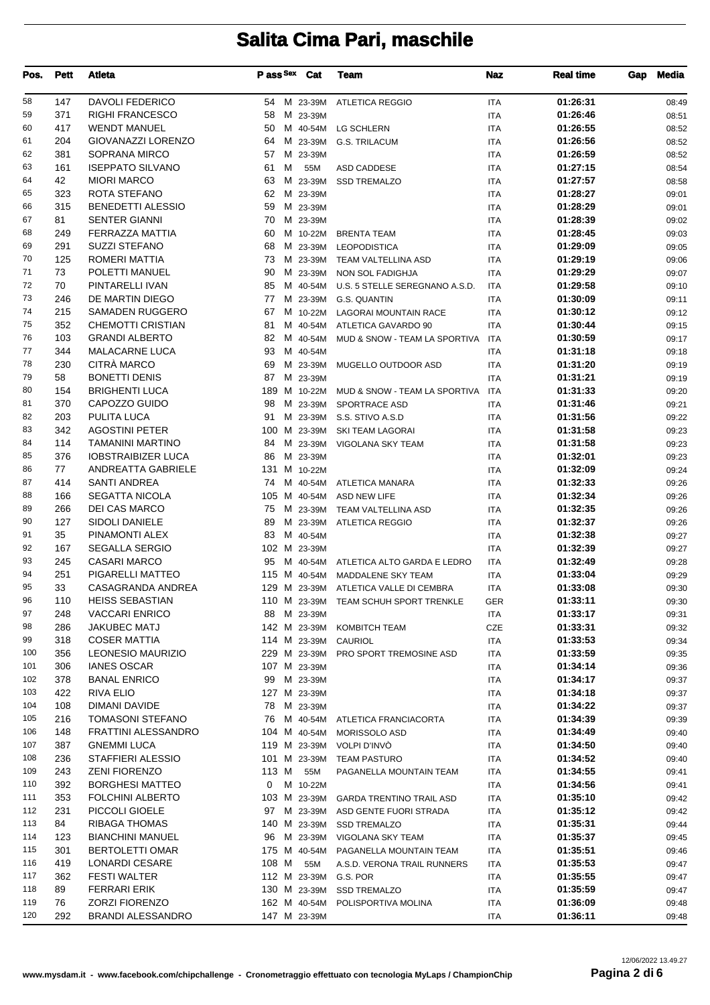| <b>DAVOLI FEDERICO</b><br>58<br>147<br>01:26:31<br>54 M 23-39M ATLETICA REGGIO<br>08:49<br><b>ITA</b><br>59<br>371<br><b>RIGHI FRANCESCO</b><br>01:26:46<br>58<br>M 23-39M<br><b>ITA</b><br>08:51<br>60<br>417<br><b>WENDT MANUEL</b><br>01:26:55<br>50<br>M 40-54M<br><b>LG SCHLERN</b><br><b>ITA</b><br>08:52<br><b>GIOVANAZZI LORENZO</b><br>61<br>204<br>01:26:56<br>M 23-39M<br><b>ITA</b><br>64<br><b>G.S. TRILACUM</b><br>08:52<br>62<br>381<br>SOPRANA MIRCO<br>01:26:59<br>57<br>M 23-39M<br><b>ITA</b><br>08:52<br>63<br>161<br><b>ISEPPATO SILVANO</b><br>61<br>м<br>01:27:15<br>55M<br>ASD CADDESE<br><b>ITA</b><br>08:54<br>42<br><b>MIORI MARCO</b><br>63<br>01:27:57<br>64<br>M 23-39M<br><b>SSD TREMALZO</b><br><b>ITA</b><br>08:58<br>65<br>323<br>ROTA STEFANO<br>M 23-39M<br>62<br><b>ITA</b><br>01:28:27<br>09:01<br>66<br>315<br><b>BENEDETTI ALESSIO</b><br>59<br>M 23-39M<br>01:28:29<br><b>ITA</b><br>09:01<br>67<br>81<br><b>SENTER GIANNI</b><br>70<br>M 23-39M<br>01:28:39<br><b>ITA</b><br>09:02<br>68<br>FERRAZZA MATTIA<br>01:28:45<br>249<br>60<br>M 10-22M<br><b>BRENTA TEAM</b><br><b>ITA</b><br>09:03<br>291<br><b>SUZZI STEFANO</b><br>01:29:09<br>69<br>68<br>M 23-39M<br><b>LEOPODISTICA</b><br><b>ITA</b><br>09:05<br>70<br>125<br>ROMERI MATTIA<br>01:29:19<br>73<br>M 23-39M<br>TEAM VALTELLINA ASD<br><b>ITA</b><br>09:06<br>71<br>73<br>POLETTI MANUEL<br>90<br>M 23-39M<br>NON SOL FADIGHJA<br><b>ITA</b><br>01:29:29<br>09:07<br>72<br>70<br>PINTARELLI IVAN<br>01:29:58<br>85<br>M 40-54M<br>U.S. 5 STELLE SEREGNANO A.S.D.<br><b>ITA</b><br>09:10<br>73<br>DE MARTIN DIEGO<br>M 23-39M<br>01:30:09<br>246<br>77<br>G.S. QUANTIN<br><b>ITA</b><br>09:11<br>74<br>215<br><b>SAMADEN RUGGERO</b><br>01:30:12<br>67<br>M 10-22M<br>LAGORAI MOUNTAIN RACE<br><b>ITA</b><br>09:12<br>75<br>352<br>CHEMOTTI CRISTIAN<br>01:30:44<br>81<br>M 40-54M<br>ATLETICA GAVARDO 90<br><b>ITA</b><br>09:15<br>76<br><b>GRANDI ALBERTO</b><br>103<br>82<br>01:30:59<br>M 40-54M<br>09:17<br>MUD & SNOW - TEAM LA SPORTIVA<br>ITA<br>77<br>344<br><b>MALACARNE LUCA</b><br>93<br>M 40-54M<br>01:31:18<br>09:18<br>ITA<br>CITRÀ MARCO<br>78<br>230<br>69<br>M 23-39M<br>01:31:20<br>MUGELLO OUTDOOR ASD<br><b>ITA</b><br>09:19<br>79<br><b>BONETTI DENIS</b><br>58<br>87<br>M 23-39M<br><b>ITA</b><br>01:31:21<br>09:19<br>80<br><b>BRIGHENTI LUCA</b><br>154<br>189 M 10-22M MUD & SNOW - TEAM LA SPORTIVA<br>ITA<br>01:31:33<br>09:20<br>81<br>370<br>CAPOZZO GUIDO<br>01:31:46<br>98<br>M 23-39M<br>SPORTRACE ASD<br><b>ITA</b><br>09:21<br>82<br>203<br>PULITA LUCA<br>01:31:56<br>91<br>M 23-39M S.S. STIVO A.S.D<br><b>ITA</b><br>09:22<br>83<br>342<br><b>AGOSTINI PETER</b><br>100 M 23-39M<br>01:31:58<br>SKI TEAM LAGORAI<br><b>ITA</b><br>09:23<br>84<br>114<br><b>TAMANINI MARTINO</b><br>01:31:58<br>84<br>M 23-39M<br>VIGOLANA SKY TEAM<br><b>ITA</b><br>09:23<br>85<br>376<br><b>IOBSTRAIBIZER LUCA</b><br>M 23-39M<br>01:32:01<br>86<br><b>ITA</b><br>09:23<br>77<br>ANDREATTA GABRIELE<br>01:32:09<br>86<br>131 M 10-22M<br><b>ITA</b><br>09:24<br>87<br>414<br><b>SANTI ANDREA</b><br>01:32:33<br>74<br>M 40-54M<br>ATLETICA MANARA<br><b>ITA</b><br>09:26<br>88<br><b>SEGATTA NICOLA</b><br>105 M 40-54M<br>01:32:34<br>166<br>ASD NEW LIFE<br><b>ITA</b><br>09:26<br>89<br>266<br><b>DEI CAS MARCO</b><br>75<br>M 23-39M TEAM VALTELLINA ASD<br>01:32:35<br><b>ITA</b><br>09:26<br>90<br>127<br>SIDOLI DANIELE<br>89<br>M 23-39M<br>01:32:37<br><b>ATLETICA REGGIO</b><br><b>ITA</b><br>09:26<br>91<br>35<br>PINAMONTI ALEX<br>83<br>M 40-54M<br>01:32:38<br><b>ITA</b><br>09:27<br><b>SEGALLA SERGIO</b><br>92<br>167<br>102 M 23-39M<br>01:32:39<br><b>ITA</b><br>09:27<br>93<br>245<br><b>CASARI MARCO</b><br>01:32:49<br>95<br>M 40-54M<br>ATLETICA ALTO GARDA E LEDRO<br><b>ITA</b><br>09:28<br>94<br>251<br>PIGARELLI MATTEO<br>01:33:04<br>115 M 40-54M<br>MADDALENE SKY TEAM<br>09:29<br>ITA<br>95<br>33<br>CASAGRANDA ANDREA<br>129 M 23-39M ATLETICA VALLE DI CEMBRA<br>01:33:08<br><b>ITA</b><br>09:30<br>110 M 23-39M<br>110<br><b>HEISS SEBASTIAN</b><br>01:33:11<br>TEAM SCHUH SPORT TRENKLE<br>GER<br>09:30<br>97<br><b>VACCARI ENRICO</b><br>01:33:17<br>248<br>88<br>M 23-39M<br>ITA<br>09:31<br>98<br>286<br><b>JAKUBEC MATJ</b><br>142 M 23-39M KOMBITCH TEAM<br>01:33:31<br>CZE<br>09:32<br>99<br>318<br><b>COSER MATTIA</b><br>01:33:53<br>114 M 23-39M<br>CAURIOL<br>ITA<br>09:34<br>356<br>LEONESIO MAURIZIO<br>229 M 23-39M<br>01:33:59<br>100<br>PRO SPORT TREMOSINE ASD<br>ITA<br>09:35<br>101<br>306<br><b>IANES OSCAR</b><br>01:34:14<br>107 M 23-39M<br>ITA<br>09:36<br>378<br>102<br><b>BANAL ENRICO</b><br>99<br>M 23-39M<br>01:34:17<br>ITA<br>09:37<br>422<br><b>RIVA ELIO</b><br>103<br>127 M 23-39M<br><b>ITA</b><br>01:34:18<br>09:37<br>104<br>108<br>DIMANI DAVIDE<br>78<br>M 23-39M<br>01:34:22<br>ITA<br>09:37<br>216<br><b>TOMASONI STEFANO</b><br>105<br>01:34:39<br>76<br>M 40-54M<br>ATLETICA FRANCIACORTA<br>ITA<br>09:39<br><b>FRATTINI ALESSANDRO</b><br>106<br>148<br>104 M 40-54M<br>01:34:49<br>MORISSOLO ASD<br>ITA<br>09:40<br>107<br>387<br><b>GNEMMI LUCA</b><br>01:34:50<br>119 M 23-39M<br>VOLPI D'INVÒ<br>ITA<br>09:40<br>236<br>STAFFIERI ALESSIO<br>108<br>101 M 23-39M<br>01:34:52<br><b>TEAM PASTURO</b><br>ITA<br>09:40<br>109<br>243<br><b>ZENI FIORENZO</b><br>113 M<br>55M<br>01:34:55<br>PAGANELLA MOUNTAIN TEAM<br>ITA<br>09:41<br>110<br>392<br><b>BORGHESI MATTEO</b><br>M 10-22M<br>01:34:56<br>0<br><b>ITA</b><br>09:41<br>111<br>353<br><b>FOLCHINI ALBERTO</b><br>103 M 23-39M<br>01:35:10<br><b>GARDA TRENTINO TRAIL ASD</b><br>ITA<br>09:42<br>PICCOLI GIOELE<br>112<br>231<br>97 M 23-39M<br>01:35:12<br>ASD GENTE FUORI STRADA<br>ITA<br>09:42<br>113<br>84<br>RIBAGA THOMAS<br>01:35:31<br>140 M 23-39M SSD TREMALZO<br>ITA<br>09:44<br>114<br>123<br><b>BIANCHINI MANUEL</b><br>M 23-39M<br>01:35:37<br>96<br>VIGOLANA SKY TEAM<br>ITA<br>09:45<br>115<br>301<br><b>BERTOLETTI OMAR</b><br>175 M 40-54M<br><b>ITA</b><br>01:35:51<br>PAGANELLA MOUNTAIN TEAM<br>09:46<br>116<br>419<br><b>LONARDI CESARE</b><br>108 M<br>01:35:53<br>55M<br><b>ITA</b><br>A.S.D. VERONA TRAIL RUNNERS<br>09:47<br>117<br><b>FESTI WALTER</b><br>362<br>112 M 23-39M<br>01:35:55<br>G.S. POR<br>ITA<br>09:47<br><b>FERRARI ERIK</b><br>118<br>89<br>130 M 23-39M SSD TREMALZO<br>01:35:59<br>ITA<br>09:47<br>76<br>119<br><b>ZORZI FIORENZO</b><br>162 M 40-54M<br>01:36:09<br>POLISPORTIVA MOLINA<br>ITA<br>09:48<br>292<br><b>BRANDI ALESSANDRO</b><br>01:36:11<br>120<br>147 M 23-39M<br>ITA<br>09:48 | Pos. | Pett | <b>Atleta</b> | Pass <sup>Sex</sup> Cat | <b>Team</b> | <b>Naz</b> | <b>Real time</b> | Gap | <b>Media</b> |
|----------------------------------------------------------------------------------------------------------------------------------------------------------------------------------------------------------------------------------------------------------------------------------------------------------------------------------------------------------------------------------------------------------------------------------------------------------------------------------------------------------------------------------------------------------------------------------------------------------------------------------------------------------------------------------------------------------------------------------------------------------------------------------------------------------------------------------------------------------------------------------------------------------------------------------------------------------------------------------------------------------------------------------------------------------------------------------------------------------------------------------------------------------------------------------------------------------------------------------------------------------------------------------------------------------------------------------------------------------------------------------------------------------------------------------------------------------------------------------------------------------------------------------------------------------------------------------------------------------------------------------------------------------------------------------------------------------------------------------------------------------------------------------------------------------------------------------------------------------------------------------------------------------------------------------------------------------------------------------------------------------------------------------------------------------------------------------------------------------------------------------------------------------------------------------------------------------------------------------------------------------------------------------------------------------------------------------------------------------------------------------------------------------------------------------------------------------------------------------------------------------------------------------------------------------------------------------------------------------------------------------------------------------------------------------------------------------------------------------------------------------------------------------------------------------------------------------------------------------------------------------------------------------------------------------------------------------------------------------------------------------------------------------------------------------------------------------------------------------------------------------------------------------------------------------------------------------------------------------------------------------------------------------------------------------------------------------------------------------------------------------------------------------------------------------------------------------------------------------------------------------------------------------------------------------------------------------------------------------------------------------------------------------------------------------------------------------------------------------------------------------------------------------------------------------------------------------------------------------------------------------------------------------------------------------------------------------------------------------------------------------------------------------------------------------------------------------------------------------------------------------------------------------------------------------------------------------------------------------------------------------------------------------------------------------------------------------------------------------------------------------------------------------------------------------------------------------------------------------------------------------------------------------------------------------------------------------------------------------------------------------------------------------------------------------------------------------------------------------------------------------------------------------------------------------------------------------------------------------------------------------------------------------------------------------------------------------------------------------------------------------------------------------------------------------------------------------------------------------------------------------------------------------------------------------------------------------------------------------------------------------------------------------------------------------------------------------------------------------------------------------------------------------------------------------------------------------------------------------------------------------------------------------------------------------------------------------------------------------------------------------------------------------------------------------------------------------------------------------------------------------------------------------------------------------------------------------------------------------------------------------------------------------------------------------------------------------------------------------------------------------------------------------------------------------------------------------------------------------------------------------------------------------------------------------------------------------------------------------------------------------------------------------------------------------------------------------------------------------------------------------------------------------------------------------------------------------------------------------------------------------------------------------------------------------------------------------------------------------------------|------|------|---------------|-------------------------|-------------|------------|------------------|-----|--------------|
|                                                                                                                                                                                                                                                                                                                                                                                                                                                                                                                                                                                                                                                                                                                                                                                                                                                                                                                                                                                                                                                                                                                                                                                                                                                                                                                                                                                                                                                                                                                                                                                                                                                                                                                                                                                                                                                                                                                                                                                                                                                                                                                                                                                                                                                                                                                                                                                                                                                                                                                                                                                                                                                                                                                                                                                                                                                                                                                                                                                                                                                                                                                                                                                                                                                                                                                                                                                                                                                                                                                                                                                                                                                                                                                                                                                                                                                                                                                                                                                                                                                                                                                                                                                                                                                                                                                                                                                                                                                                                                                                                                                                                                                                                                                                                                                                                                                                                                                                                                                                                                                                                                                                                                                                                                                                                                                                                                                                                                                                                                                                                                                                                                                                                                                                                                                                                                                                                                                                                                                                                                                                                                                                                                                                                                                                                                                                                                                                                                                                                                                                                                                                                      |      |      |               |                         |             |            |                  |     |              |
|                                                                                                                                                                                                                                                                                                                                                                                                                                                                                                                                                                                                                                                                                                                                                                                                                                                                                                                                                                                                                                                                                                                                                                                                                                                                                                                                                                                                                                                                                                                                                                                                                                                                                                                                                                                                                                                                                                                                                                                                                                                                                                                                                                                                                                                                                                                                                                                                                                                                                                                                                                                                                                                                                                                                                                                                                                                                                                                                                                                                                                                                                                                                                                                                                                                                                                                                                                                                                                                                                                                                                                                                                                                                                                                                                                                                                                                                                                                                                                                                                                                                                                                                                                                                                                                                                                                                                                                                                                                                                                                                                                                                                                                                                                                                                                                                                                                                                                                                                                                                                                                                                                                                                                                                                                                                                                                                                                                                                                                                                                                                                                                                                                                                                                                                                                                                                                                                                                                                                                                                                                                                                                                                                                                                                                                                                                                                                                                                                                                                                                                                                                                                                      |      |      |               |                         |             |            |                  |     |              |
|                                                                                                                                                                                                                                                                                                                                                                                                                                                                                                                                                                                                                                                                                                                                                                                                                                                                                                                                                                                                                                                                                                                                                                                                                                                                                                                                                                                                                                                                                                                                                                                                                                                                                                                                                                                                                                                                                                                                                                                                                                                                                                                                                                                                                                                                                                                                                                                                                                                                                                                                                                                                                                                                                                                                                                                                                                                                                                                                                                                                                                                                                                                                                                                                                                                                                                                                                                                                                                                                                                                                                                                                                                                                                                                                                                                                                                                                                                                                                                                                                                                                                                                                                                                                                                                                                                                                                                                                                                                                                                                                                                                                                                                                                                                                                                                                                                                                                                                                                                                                                                                                                                                                                                                                                                                                                                                                                                                                                                                                                                                                                                                                                                                                                                                                                                                                                                                                                                                                                                                                                                                                                                                                                                                                                                                                                                                                                                                                                                                                                                                                                                                                                      |      |      |               |                         |             |            |                  |     |              |
|                                                                                                                                                                                                                                                                                                                                                                                                                                                                                                                                                                                                                                                                                                                                                                                                                                                                                                                                                                                                                                                                                                                                                                                                                                                                                                                                                                                                                                                                                                                                                                                                                                                                                                                                                                                                                                                                                                                                                                                                                                                                                                                                                                                                                                                                                                                                                                                                                                                                                                                                                                                                                                                                                                                                                                                                                                                                                                                                                                                                                                                                                                                                                                                                                                                                                                                                                                                                                                                                                                                                                                                                                                                                                                                                                                                                                                                                                                                                                                                                                                                                                                                                                                                                                                                                                                                                                                                                                                                                                                                                                                                                                                                                                                                                                                                                                                                                                                                                                                                                                                                                                                                                                                                                                                                                                                                                                                                                                                                                                                                                                                                                                                                                                                                                                                                                                                                                                                                                                                                                                                                                                                                                                                                                                                                                                                                                                                                                                                                                                                                                                                                                                      |      |      |               |                         |             |            |                  |     |              |
|                                                                                                                                                                                                                                                                                                                                                                                                                                                                                                                                                                                                                                                                                                                                                                                                                                                                                                                                                                                                                                                                                                                                                                                                                                                                                                                                                                                                                                                                                                                                                                                                                                                                                                                                                                                                                                                                                                                                                                                                                                                                                                                                                                                                                                                                                                                                                                                                                                                                                                                                                                                                                                                                                                                                                                                                                                                                                                                                                                                                                                                                                                                                                                                                                                                                                                                                                                                                                                                                                                                                                                                                                                                                                                                                                                                                                                                                                                                                                                                                                                                                                                                                                                                                                                                                                                                                                                                                                                                                                                                                                                                                                                                                                                                                                                                                                                                                                                                                                                                                                                                                                                                                                                                                                                                                                                                                                                                                                                                                                                                                                                                                                                                                                                                                                                                                                                                                                                                                                                                                                                                                                                                                                                                                                                                                                                                                                                                                                                                                                                                                                                                                                      |      |      |               |                         |             |            |                  |     |              |
|                                                                                                                                                                                                                                                                                                                                                                                                                                                                                                                                                                                                                                                                                                                                                                                                                                                                                                                                                                                                                                                                                                                                                                                                                                                                                                                                                                                                                                                                                                                                                                                                                                                                                                                                                                                                                                                                                                                                                                                                                                                                                                                                                                                                                                                                                                                                                                                                                                                                                                                                                                                                                                                                                                                                                                                                                                                                                                                                                                                                                                                                                                                                                                                                                                                                                                                                                                                                                                                                                                                                                                                                                                                                                                                                                                                                                                                                                                                                                                                                                                                                                                                                                                                                                                                                                                                                                                                                                                                                                                                                                                                                                                                                                                                                                                                                                                                                                                                                                                                                                                                                                                                                                                                                                                                                                                                                                                                                                                                                                                                                                                                                                                                                                                                                                                                                                                                                                                                                                                                                                                                                                                                                                                                                                                                                                                                                                                                                                                                                                                                                                                                                                      |      |      |               |                         |             |            |                  |     |              |
|                                                                                                                                                                                                                                                                                                                                                                                                                                                                                                                                                                                                                                                                                                                                                                                                                                                                                                                                                                                                                                                                                                                                                                                                                                                                                                                                                                                                                                                                                                                                                                                                                                                                                                                                                                                                                                                                                                                                                                                                                                                                                                                                                                                                                                                                                                                                                                                                                                                                                                                                                                                                                                                                                                                                                                                                                                                                                                                                                                                                                                                                                                                                                                                                                                                                                                                                                                                                                                                                                                                                                                                                                                                                                                                                                                                                                                                                                                                                                                                                                                                                                                                                                                                                                                                                                                                                                                                                                                                                                                                                                                                                                                                                                                                                                                                                                                                                                                                                                                                                                                                                                                                                                                                                                                                                                                                                                                                                                                                                                                                                                                                                                                                                                                                                                                                                                                                                                                                                                                                                                                                                                                                                                                                                                                                                                                                                                                                                                                                                                                                                                                                                                      |      |      |               |                         |             |            |                  |     |              |
|                                                                                                                                                                                                                                                                                                                                                                                                                                                                                                                                                                                                                                                                                                                                                                                                                                                                                                                                                                                                                                                                                                                                                                                                                                                                                                                                                                                                                                                                                                                                                                                                                                                                                                                                                                                                                                                                                                                                                                                                                                                                                                                                                                                                                                                                                                                                                                                                                                                                                                                                                                                                                                                                                                                                                                                                                                                                                                                                                                                                                                                                                                                                                                                                                                                                                                                                                                                                                                                                                                                                                                                                                                                                                                                                                                                                                                                                                                                                                                                                                                                                                                                                                                                                                                                                                                                                                                                                                                                                                                                                                                                                                                                                                                                                                                                                                                                                                                                                                                                                                                                                                                                                                                                                                                                                                                                                                                                                                                                                                                                                                                                                                                                                                                                                                                                                                                                                                                                                                                                                                                                                                                                                                                                                                                                                                                                                                                                                                                                                                                                                                                                                                      |      |      |               |                         |             |            |                  |     |              |
|                                                                                                                                                                                                                                                                                                                                                                                                                                                                                                                                                                                                                                                                                                                                                                                                                                                                                                                                                                                                                                                                                                                                                                                                                                                                                                                                                                                                                                                                                                                                                                                                                                                                                                                                                                                                                                                                                                                                                                                                                                                                                                                                                                                                                                                                                                                                                                                                                                                                                                                                                                                                                                                                                                                                                                                                                                                                                                                                                                                                                                                                                                                                                                                                                                                                                                                                                                                                                                                                                                                                                                                                                                                                                                                                                                                                                                                                                                                                                                                                                                                                                                                                                                                                                                                                                                                                                                                                                                                                                                                                                                                                                                                                                                                                                                                                                                                                                                                                                                                                                                                                                                                                                                                                                                                                                                                                                                                                                                                                                                                                                                                                                                                                                                                                                                                                                                                                                                                                                                                                                                                                                                                                                                                                                                                                                                                                                                                                                                                                                                                                                                                                                      |      |      |               |                         |             |            |                  |     |              |
|                                                                                                                                                                                                                                                                                                                                                                                                                                                                                                                                                                                                                                                                                                                                                                                                                                                                                                                                                                                                                                                                                                                                                                                                                                                                                                                                                                                                                                                                                                                                                                                                                                                                                                                                                                                                                                                                                                                                                                                                                                                                                                                                                                                                                                                                                                                                                                                                                                                                                                                                                                                                                                                                                                                                                                                                                                                                                                                                                                                                                                                                                                                                                                                                                                                                                                                                                                                                                                                                                                                                                                                                                                                                                                                                                                                                                                                                                                                                                                                                                                                                                                                                                                                                                                                                                                                                                                                                                                                                                                                                                                                                                                                                                                                                                                                                                                                                                                                                                                                                                                                                                                                                                                                                                                                                                                                                                                                                                                                                                                                                                                                                                                                                                                                                                                                                                                                                                                                                                                                                                                                                                                                                                                                                                                                                                                                                                                                                                                                                                                                                                                                                                      |      |      |               |                         |             |            |                  |     |              |
|                                                                                                                                                                                                                                                                                                                                                                                                                                                                                                                                                                                                                                                                                                                                                                                                                                                                                                                                                                                                                                                                                                                                                                                                                                                                                                                                                                                                                                                                                                                                                                                                                                                                                                                                                                                                                                                                                                                                                                                                                                                                                                                                                                                                                                                                                                                                                                                                                                                                                                                                                                                                                                                                                                                                                                                                                                                                                                                                                                                                                                                                                                                                                                                                                                                                                                                                                                                                                                                                                                                                                                                                                                                                                                                                                                                                                                                                                                                                                                                                                                                                                                                                                                                                                                                                                                                                                                                                                                                                                                                                                                                                                                                                                                                                                                                                                                                                                                                                                                                                                                                                                                                                                                                                                                                                                                                                                                                                                                                                                                                                                                                                                                                                                                                                                                                                                                                                                                                                                                                                                                                                                                                                                                                                                                                                                                                                                                                                                                                                                                                                                                                                                      |      |      |               |                         |             |            |                  |     |              |
|                                                                                                                                                                                                                                                                                                                                                                                                                                                                                                                                                                                                                                                                                                                                                                                                                                                                                                                                                                                                                                                                                                                                                                                                                                                                                                                                                                                                                                                                                                                                                                                                                                                                                                                                                                                                                                                                                                                                                                                                                                                                                                                                                                                                                                                                                                                                                                                                                                                                                                                                                                                                                                                                                                                                                                                                                                                                                                                                                                                                                                                                                                                                                                                                                                                                                                                                                                                                                                                                                                                                                                                                                                                                                                                                                                                                                                                                                                                                                                                                                                                                                                                                                                                                                                                                                                                                                                                                                                                                                                                                                                                                                                                                                                                                                                                                                                                                                                                                                                                                                                                                                                                                                                                                                                                                                                                                                                                                                                                                                                                                                                                                                                                                                                                                                                                                                                                                                                                                                                                                                                                                                                                                                                                                                                                                                                                                                                                                                                                                                                                                                                                                                      |      |      |               |                         |             |            |                  |     |              |
|                                                                                                                                                                                                                                                                                                                                                                                                                                                                                                                                                                                                                                                                                                                                                                                                                                                                                                                                                                                                                                                                                                                                                                                                                                                                                                                                                                                                                                                                                                                                                                                                                                                                                                                                                                                                                                                                                                                                                                                                                                                                                                                                                                                                                                                                                                                                                                                                                                                                                                                                                                                                                                                                                                                                                                                                                                                                                                                                                                                                                                                                                                                                                                                                                                                                                                                                                                                                                                                                                                                                                                                                                                                                                                                                                                                                                                                                                                                                                                                                                                                                                                                                                                                                                                                                                                                                                                                                                                                                                                                                                                                                                                                                                                                                                                                                                                                                                                                                                                                                                                                                                                                                                                                                                                                                                                                                                                                                                                                                                                                                                                                                                                                                                                                                                                                                                                                                                                                                                                                                                                                                                                                                                                                                                                                                                                                                                                                                                                                                                                                                                                                                                      |      |      |               |                         |             |            |                  |     |              |
|                                                                                                                                                                                                                                                                                                                                                                                                                                                                                                                                                                                                                                                                                                                                                                                                                                                                                                                                                                                                                                                                                                                                                                                                                                                                                                                                                                                                                                                                                                                                                                                                                                                                                                                                                                                                                                                                                                                                                                                                                                                                                                                                                                                                                                                                                                                                                                                                                                                                                                                                                                                                                                                                                                                                                                                                                                                                                                                                                                                                                                                                                                                                                                                                                                                                                                                                                                                                                                                                                                                                                                                                                                                                                                                                                                                                                                                                                                                                                                                                                                                                                                                                                                                                                                                                                                                                                                                                                                                                                                                                                                                                                                                                                                                                                                                                                                                                                                                                                                                                                                                                                                                                                                                                                                                                                                                                                                                                                                                                                                                                                                                                                                                                                                                                                                                                                                                                                                                                                                                                                                                                                                                                                                                                                                                                                                                                                                                                                                                                                                                                                                                                                      |      |      |               |                         |             |            |                  |     |              |
|                                                                                                                                                                                                                                                                                                                                                                                                                                                                                                                                                                                                                                                                                                                                                                                                                                                                                                                                                                                                                                                                                                                                                                                                                                                                                                                                                                                                                                                                                                                                                                                                                                                                                                                                                                                                                                                                                                                                                                                                                                                                                                                                                                                                                                                                                                                                                                                                                                                                                                                                                                                                                                                                                                                                                                                                                                                                                                                                                                                                                                                                                                                                                                                                                                                                                                                                                                                                                                                                                                                                                                                                                                                                                                                                                                                                                                                                                                                                                                                                                                                                                                                                                                                                                                                                                                                                                                                                                                                                                                                                                                                                                                                                                                                                                                                                                                                                                                                                                                                                                                                                                                                                                                                                                                                                                                                                                                                                                                                                                                                                                                                                                                                                                                                                                                                                                                                                                                                                                                                                                                                                                                                                                                                                                                                                                                                                                                                                                                                                                                                                                                                                                      |      |      |               |                         |             |            |                  |     |              |
|                                                                                                                                                                                                                                                                                                                                                                                                                                                                                                                                                                                                                                                                                                                                                                                                                                                                                                                                                                                                                                                                                                                                                                                                                                                                                                                                                                                                                                                                                                                                                                                                                                                                                                                                                                                                                                                                                                                                                                                                                                                                                                                                                                                                                                                                                                                                                                                                                                                                                                                                                                                                                                                                                                                                                                                                                                                                                                                                                                                                                                                                                                                                                                                                                                                                                                                                                                                                                                                                                                                                                                                                                                                                                                                                                                                                                                                                                                                                                                                                                                                                                                                                                                                                                                                                                                                                                                                                                                                                                                                                                                                                                                                                                                                                                                                                                                                                                                                                                                                                                                                                                                                                                                                                                                                                                                                                                                                                                                                                                                                                                                                                                                                                                                                                                                                                                                                                                                                                                                                                                                                                                                                                                                                                                                                                                                                                                                                                                                                                                                                                                                                                                      |      |      |               |                         |             |            |                  |     |              |
|                                                                                                                                                                                                                                                                                                                                                                                                                                                                                                                                                                                                                                                                                                                                                                                                                                                                                                                                                                                                                                                                                                                                                                                                                                                                                                                                                                                                                                                                                                                                                                                                                                                                                                                                                                                                                                                                                                                                                                                                                                                                                                                                                                                                                                                                                                                                                                                                                                                                                                                                                                                                                                                                                                                                                                                                                                                                                                                                                                                                                                                                                                                                                                                                                                                                                                                                                                                                                                                                                                                                                                                                                                                                                                                                                                                                                                                                                                                                                                                                                                                                                                                                                                                                                                                                                                                                                                                                                                                                                                                                                                                                                                                                                                                                                                                                                                                                                                                                                                                                                                                                                                                                                                                                                                                                                                                                                                                                                                                                                                                                                                                                                                                                                                                                                                                                                                                                                                                                                                                                                                                                                                                                                                                                                                                                                                                                                                                                                                                                                                                                                                                                                      |      |      |               |                         |             |            |                  |     |              |
|                                                                                                                                                                                                                                                                                                                                                                                                                                                                                                                                                                                                                                                                                                                                                                                                                                                                                                                                                                                                                                                                                                                                                                                                                                                                                                                                                                                                                                                                                                                                                                                                                                                                                                                                                                                                                                                                                                                                                                                                                                                                                                                                                                                                                                                                                                                                                                                                                                                                                                                                                                                                                                                                                                                                                                                                                                                                                                                                                                                                                                                                                                                                                                                                                                                                                                                                                                                                                                                                                                                                                                                                                                                                                                                                                                                                                                                                                                                                                                                                                                                                                                                                                                                                                                                                                                                                                                                                                                                                                                                                                                                                                                                                                                                                                                                                                                                                                                                                                                                                                                                                                                                                                                                                                                                                                                                                                                                                                                                                                                                                                                                                                                                                                                                                                                                                                                                                                                                                                                                                                                                                                                                                                                                                                                                                                                                                                                                                                                                                                                                                                                                                                      |      |      |               |                         |             |            |                  |     |              |
|                                                                                                                                                                                                                                                                                                                                                                                                                                                                                                                                                                                                                                                                                                                                                                                                                                                                                                                                                                                                                                                                                                                                                                                                                                                                                                                                                                                                                                                                                                                                                                                                                                                                                                                                                                                                                                                                                                                                                                                                                                                                                                                                                                                                                                                                                                                                                                                                                                                                                                                                                                                                                                                                                                                                                                                                                                                                                                                                                                                                                                                                                                                                                                                                                                                                                                                                                                                                                                                                                                                                                                                                                                                                                                                                                                                                                                                                                                                                                                                                                                                                                                                                                                                                                                                                                                                                                                                                                                                                                                                                                                                                                                                                                                                                                                                                                                                                                                                                                                                                                                                                                                                                                                                                                                                                                                                                                                                                                                                                                                                                                                                                                                                                                                                                                                                                                                                                                                                                                                                                                                                                                                                                                                                                                                                                                                                                                                                                                                                                                                                                                                                                                      |      |      |               |                         |             |            |                  |     |              |
|                                                                                                                                                                                                                                                                                                                                                                                                                                                                                                                                                                                                                                                                                                                                                                                                                                                                                                                                                                                                                                                                                                                                                                                                                                                                                                                                                                                                                                                                                                                                                                                                                                                                                                                                                                                                                                                                                                                                                                                                                                                                                                                                                                                                                                                                                                                                                                                                                                                                                                                                                                                                                                                                                                                                                                                                                                                                                                                                                                                                                                                                                                                                                                                                                                                                                                                                                                                                                                                                                                                                                                                                                                                                                                                                                                                                                                                                                                                                                                                                                                                                                                                                                                                                                                                                                                                                                                                                                                                                                                                                                                                                                                                                                                                                                                                                                                                                                                                                                                                                                                                                                                                                                                                                                                                                                                                                                                                                                                                                                                                                                                                                                                                                                                                                                                                                                                                                                                                                                                                                                                                                                                                                                                                                                                                                                                                                                                                                                                                                                                                                                                                                                      |      |      |               |                         |             |            |                  |     |              |
|                                                                                                                                                                                                                                                                                                                                                                                                                                                                                                                                                                                                                                                                                                                                                                                                                                                                                                                                                                                                                                                                                                                                                                                                                                                                                                                                                                                                                                                                                                                                                                                                                                                                                                                                                                                                                                                                                                                                                                                                                                                                                                                                                                                                                                                                                                                                                                                                                                                                                                                                                                                                                                                                                                                                                                                                                                                                                                                                                                                                                                                                                                                                                                                                                                                                                                                                                                                                                                                                                                                                                                                                                                                                                                                                                                                                                                                                                                                                                                                                                                                                                                                                                                                                                                                                                                                                                                                                                                                                                                                                                                                                                                                                                                                                                                                                                                                                                                                                                                                                                                                                                                                                                                                                                                                                                                                                                                                                                                                                                                                                                                                                                                                                                                                                                                                                                                                                                                                                                                                                                                                                                                                                                                                                                                                                                                                                                                                                                                                                                                                                                                                                                      |      |      |               |                         |             |            |                  |     |              |
|                                                                                                                                                                                                                                                                                                                                                                                                                                                                                                                                                                                                                                                                                                                                                                                                                                                                                                                                                                                                                                                                                                                                                                                                                                                                                                                                                                                                                                                                                                                                                                                                                                                                                                                                                                                                                                                                                                                                                                                                                                                                                                                                                                                                                                                                                                                                                                                                                                                                                                                                                                                                                                                                                                                                                                                                                                                                                                                                                                                                                                                                                                                                                                                                                                                                                                                                                                                                                                                                                                                                                                                                                                                                                                                                                                                                                                                                                                                                                                                                                                                                                                                                                                                                                                                                                                                                                                                                                                                                                                                                                                                                                                                                                                                                                                                                                                                                                                                                                                                                                                                                                                                                                                                                                                                                                                                                                                                                                                                                                                                                                                                                                                                                                                                                                                                                                                                                                                                                                                                                                                                                                                                                                                                                                                                                                                                                                                                                                                                                                                                                                                                                                      |      |      |               |                         |             |            |                  |     |              |
|                                                                                                                                                                                                                                                                                                                                                                                                                                                                                                                                                                                                                                                                                                                                                                                                                                                                                                                                                                                                                                                                                                                                                                                                                                                                                                                                                                                                                                                                                                                                                                                                                                                                                                                                                                                                                                                                                                                                                                                                                                                                                                                                                                                                                                                                                                                                                                                                                                                                                                                                                                                                                                                                                                                                                                                                                                                                                                                                                                                                                                                                                                                                                                                                                                                                                                                                                                                                                                                                                                                                                                                                                                                                                                                                                                                                                                                                                                                                                                                                                                                                                                                                                                                                                                                                                                                                                                                                                                                                                                                                                                                                                                                                                                                                                                                                                                                                                                                                                                                                                                                                                                                                                                                                                                                                                                                                                                                                                                                                                                                                                                                                                                                                                                                                                                                                                                                                                                                                                                                                                                                                                                                                                                                                                                                                                                                                                                                                                                                                                                                                                                                                                      |      |      |               |                         |             |            |                  |     |              |
|                                                                                                                                                                                                                                                                                                                                                                                                                                                                                                                                                                                                                                                                                                                                                                                                                                                                                                                                                                                                                                                                                                                                                                                                                                                                                                                                                                                                                                                                                                                                                                                                                                                                                                                                                                                                                                                                                                                                                                                                                                                                                                                                                                                                                                                                                                                                                                                                                                                                                                                                                                                                                                                                                                                                                                                                                                                                                                                                                                                                                                                                                                                                                                                                                                                                                                                                                                                                                                                                                                                                                                                                                                                                                                                                                                                                                                                                                                                                                                                                                                                                                                                                                                                                                                                                                                                                                                                                                                                                                                                                                                                                                                                                                                                                                                                                                                                                                                                                                                                                                                                                                                                                                                                                                                                                                                                                                                                                                                                                                                                                                                                                                                                                                                                                                                                                                                                                                                                                                                                                                                                                                                                                                                                                                                                                                                                                                                                                                                                                                                                                                                                                                      |      |      |               |                         |             |            |                  |     |              |
|                                                                                                                                                                                                                                                                                                                                                                                                                                                                                                                                                                                                                                                                                                                                                                                                                                                                                                                                                                                                                                                                                                                                                                                                                                                                                                                                                                                                                                                                                                                                                                                                                                                                                                                                                                                                                                                                                                                                                                                                                                                                                                                                                                                                                                                                                                                                                                                                                                                                                                                                                                                                                                                                                                                                                                                                                                                                                                                                                                                                                                                                                                                                                                                                                                                                                                                                                                                                                                                                                                                                                                                                                                                                                                                                                                                                                                                                                                                                                                                                                                                                                                                                                                                                                                                                                                                                                                                                                                                                                                                                                                                                                                                                                                                                                                                                                                                                                                                                                                                                                                                                                                                                                                                                                                                                                                                                                                                                                                                                                                                                                                                                                                                                                                                                                                                                                                                                                                                                                                                                                                                                                                                                                                                                                                                                                                                                                                                                                                                                                                                                                                                                                      |      |      |               |                         |             |            |                  |     |              |
|                                                                                                                                                                                                                                                                                                                                                                                                                                                                                                                                                                                                                                                                                                                                                                                                                                                                                                                                                                                                                                                                                                                                                                                                                                                                                                                                                                                                                                                                                                                                                                                                                                                                                                                                                                                                                                                                                                                                                                                                                                                                                                                                                                                                                                                                                                                                                                                                                                                                                                                                                                                                                                                                                                                                                                                                                                                                                                                                                                                                                                                                                                                                                                                                                                                                                                                                                                                                                                                                                                                                                                                                                                                                                                                                                                                                                                                                                                                                                                                                                                                                                                                                                                                                                                                                                                                                                                                                                                                                                                                                                                                                                                                                                                                                                                                                                                                                                                                                                                                                                                                                                                                                                                                                                                                                                                                                                                                                                                                                                                                                                                                                                                                                                                                                                                                                                                                                                                                                                                                                                                                                                                                                                                                                                                                                                                                                                                                                                                                                                                                                                                                                                      |      |      |               |                         |             |            |                  |     |              |
|                                                                                                                                                                                                                                                                                                                                                                                                                                                                                                                                                                                                                                                                                                                                                                                                                                                                                                                                                                                                                                                                                                                                                                                                                                                                                                                                                                                                                                                                                                                                                                                                                                                                                                                                                                                                                                                                                                                                                                                                                                                                                                                                                                                                                                                                                                                                                                                                                                                                                                                                                                                                                                                                                                                                                                                                                                                                                                                                                                                                                                                                                                                                                                                                                                                                                                                                                                                                                                                                                                                                                                                                                                                                                                                                                                                                                                                                                                                                                                                                                                                                                                                                                                                                                                                                                                                                                                                                                                                                                                                                                                                                                                                                                                                                                                                                                                                                                                                                                                                                                                                                                                                                                                                                                                                                                                                                                                                                                                                                                                                                                                                                                                                                                                                                                                                                                                                                                                                                                                                                                                                                                                                                                                                                                                                                                                                                                                                                                                                                                                                                                                                                                      |      |      |               |                         |             |            |                  |     |              |
|                                                                                                                                                                                                                                                                                                                                                                                                                                                                                                                                                                                                                                                                                                                                                                                                                                                                                                                                                                                                                                                                                                                                                                                                                                                                                                                                                                                                                                                                                                                                                                                                                                                                                                                                                                                                                                                                                                                                                                                                                                                                                                                                                                                                                                                                                                                                                                                                                                                                                                                                                                                                                                                                                                                                                                                                                                                                                                                                                                                                                                                                                                                                                                                                                                                                                                                                                                                                                                                                                                                                                                                                                                                                                                                                                                                                                                                                                                                                                                                                                                                                                                                                                                                                                                                                                                                                                                                                                                                                                                                                                                                                                                                                                                                                                                                                                                                                                                                                                                                                                                                                                                                                                                                                                                                                                                                                                                                                                                                                                                                                                                                                                                                                                                                                                                                                                                                                                                                                                                                                                                                                                                                                                                                                                                                                                                                                                                                                                                                                                                                                                                                                                      |      |      |               |                         |             |            |                  |     |              |
|                                                                                                                                                                                                                                                                                                                                                                                                                                                                                                                                                                                                                                                                                                                                                                                                                                                                                                                                                                                                                                                                                                                                                                                                                                                                                                                                                                                                                                                                                                                                                                                                                                                                                                                                                                                                                                                                                                                                                                                                                                                                                                                                                                                                                                                                                                                                                                                                                                                                                                                                                                                                                                                                                                                                                                                                                                                                                                                                                                                                                                                                                                                                                                                                                                                                                                                                                                                                                                                                                                                                                                                                                                                                                                                                                                                                                                                                                                                                                                                                                                                                                                                                                                                                                                                                                                                                                                                                                                                                                                                                                                                                                                                                                                                                                                                                                                                                                                                                                                                                                                                                                                                                                                                                                                                                                                                                                                                                                                                                                                                                                                                                                                                                                                                                                                                                                                                                                                                                                                                                                                                                                                                                                                                                                                                                                                                                                                                                                                                                                                                                                                                                                      |      |      |               |                         |             |            |                  |     |              |
|                                                                                                                                                                                                                                                                                                                                                                                                                                                                                                                                                                                                                                                                                                                                                                                                                                                                                                                                                                                                                                                                                                                                                                                                                                                                                                                                                                                                                                                                                                                                                                                                                                                                                                                                                                                                                                                                                                                                                                                                                                                                                                                                                                                                                                                                                                                                                                                                                                                                                                                                                                                                                                                                                                                                                                                                                                                                                                                                                                                                                                                                                                                                                                                                                                                                                                                                                                                                                                                                                                                                                                                                                                                                                                                                                                                                                                                                                                                                                                                                                                                                                                                                                                                                                                                                                                                                                                                                                                                                                                                                                                                                                                                                                                                                                                                                                                                                                                                                                                                                                                                                                                                                                                                                                                                                                                                                                                                                                                                                                                                                                                                                                                                                                                                                                                                                                                                                                                                                                                                                                                                                                                                                                                                                                                                                                                                                                                                                                                                                                                                                                                                                                      |      |      |               |                         |             |            |                  |     |              |
|                                                                                                                                                                                                                                                                                                                                                                                                                                                                                                                                                                                                                                                                                                                                                                                                                                                                                                                                                                                                                                                                                                                                                                                                                                                                                                                                                                                                                                                                                                                                                                                                                                                                                                                                                                                                                                                                                                                                                                                                                                                                                                                                                                                                                                                                                                                                                                                                                                                                                                                                                                                                                                                                                                                                                                                                                                                                                                                                                                                                                                                                                                                                                                                                                                                                                                                                                                                                                                                                                                                                                                                                                                                                                                                                                                                                                                                                                                                                                                                                                                                                                                                                                                                                                                                                                                                                                                                                                                                                                                                                                                                                                                                                                                                                                                                                                                                                                                                                                                                                                                                                                                                                                                                                                                                                                                                                                                                                                                                                                                                                                                                                                                                                                                                                                                                                                                                                                                                                                                                                                                                                                                                                                                                                                                                                                                                                                                                                                                                                                                                                                                                                                      |      |      |               |                         |             |            |                  |     |              |
|                                                                                                                                                                                                                                                                                                                                                                                                                                                                                                                                                                                                                                                                                                                                                                                                                                                                                                                                                                                                                                                                                                                                                                                                                                                                                                                                                                                                                                                                                                                                                                                                                                                                                                                                                                                                                                                                                                                                                                                                                                                                                                                                                                                                                                                                                                                                                                                                                                                                                                                                                                                                                                                                                                                                                                                                                                                                                                                                                                                                                                                                                                                                                                                                                                                                                                                                                                                                                                                                                                                                                                                                                                                                                                                                                                                                                                                                                                                                                                                                                                                                                                                                                                                                                                                                                                                                                                                                                                                                                                                                                                                                                                                                                                                                                                                                                                                                                                                                                                                                                                                                                                                                                                                                                                                                                                                                                                                                                                                                                                                                                                                                                                                                                                                                                                                                                                                                                                                                                                                                                                                                                                                                                                                                                                                                                                                                                                                                                                                                                                                                                                                                                      |      |      |               |                         |             |            |                  |     |              |
|                                                                                                                                                                                                                                                                                                                                                                                                                                                                                                                                                                                                                                                                                                                                                                                                                                                                                                                                                                                                                                                                                                                                                                                                                                                                                                                                                                                                                                                                                                                                                                                                                                                                                                                                                                                                                                                                                                                                                                                                                                                                                                                                                                                                                                                                                                                                                                                                                                                                                                                                                                                                                                                                                                                                                                                                                                                                                                                                                                                                                                                                                                                                                                                                                                                                                                                                                                                                                                                                                                                                                                                                                                                                                                                                                                                                                                                                                                                                                                                                                                                                                                                                                                                                                                                                                                                                                                                                                                                                                                                                                                                                                                                                                                                                                                                                                                                                                                                                                                                                                                                                                                                                                                                                                                                                                                                                                                                                                                                                                                                                                                                                                                                                                                                                                                                                                                                                                                                                                                                                                                                                                                                                                                                                                                                                                                                                                                                                                                                                                                                                                                                                                      |      |      |               |                         |             |            |                  |     |              |
|                                                                                                                                                                                                                                                                                                                                                                                                                                                                                                                                                                                                                                                                                                                                                                                                                                                                                                                                                                                                                                                                                                                                                                                                                                                                                                                                                                                                                                                                                                                                                                                                                                                                                                                                                                                                                                                                                                                                                                                                                                                                                                                                                                                                                                                                                                                                                                                                                                                                                                                                                                                                                                                                                                                                                                                                                                                                                                                                                                                                                                                                                                                                                                                                                                                                                                                                                                                                                                                                                                                                                                                                                                                                                                                                                                                                                                                                                                                                                                                                                                                                                                                                                                                                                                                                                                                                                                                                                                                                                                                                                                                                                                                                                                                                                                                                                                                                                                                                                                                                                                                                                                                                                                                                                                                                                                                                                                                                                                                                                                                                                                                                                                                                                                                                                                                                                                                                                                                                                                                                                                                                                                                                                                                                                                                                                                                                                                                                                                                                                                                                                                                                                      |      |      |               |                         |             |            |                  |     |              |
|                                                                                                                                                                                                                                                                                                                                                                                                                                                                                                                                                                                                                                                                                                                                                                                                                                                                                                                                                                                                                                                                                                                                                                                                                                                                                                                                                                                                                                                                                                                                                                                                                                                                                                                                                                                                                                                                                                                                                                                                                                                                                                                                                                                                                                                                                                                                                                                                                                                                                                                                                                                                                                                                                                                                                                                                                                                                                                                                                                                                                                                                                                                                                                                                                                                                                                                                                                                                                                                                                                                                                                                                                                                                                                                                                                                                                                                                                                                                                                                                                                                                                                                                                                                                                                                                                                                                                                                                                                                                                                                                                                                                                                                                                                                                                                                                                                                                                                                                                                                                                                                                                                                                                                                                                                                                                                                                                                                                                                                                                                                                                                                                                                                                                                                                                                                                                                                                                                                                                                                                                                                                                                                                                                                                                                                                                                                                                                                                                                                                                                                                                                                                                      |      |      |               |                         |             |            |                  |     |              |
|                                                                                                                                                                                                                                                                                                                                                                                                                                                                                                                                                                                                                                                                                                                                                                                                                                                                                                                                                                                                                                                                                                                                                                                                                                                                                                                                                                                                                                                                                                                                                                                                                                                                                                                                                                                                                                                                                                                                                                                                                                                                                                                                                                                                                                                                                                                                                                                                                                                                                                                                                                                                                                                                                                                                                                                                                                                                                                                                                                                                                                                                                                                                                                                                                                                                                                                                                                                                                                                                                                                                                                                                                                                                                                                                                                                                                                                                                                                                                                                                                                                                                                                                                                                                                                                                                                                                                                                                                                                                                                                                                                                                                                                                                                                                                                                                                                                                                                                                                                                                                                                                                                                                                                                                                                                                                                                                                                                                                                                                                                                                                                                                                                                                                                                                                                                                                                                                                                                                                                                                                                                                                                                                                                                                                                                                                                                                                                                                                                                                                                                                                                                                                      |      |      |               |                         |             |            |                  |     |              |
|                                                                                                                                                                                                                                                                                                                                                                                                                                                                                                                                                                                                                                                                                                                                                                                                                                                                                                                                                                                                                                                                                                                                                                                                                                                                                                                                                                                                                                                                                                                                                                                                                                                                                                                                                                                                                                                                                                                                                                                                                                                                                                                                                                                                                                                                                                                                                                                                                                                                                                                                                                                                                                                                                                                                                                                                                                                                                                                                                                                                                                                                                                                                                                                                                                                                                                                                                                                                                                                                                                                                                                                                                                                                                                                                                                                                                                                                                                                                                                                                                                                                                                                                                                                                                                                                                                                                                                                                                                                                                                                                                                                                                                                                                                                                                                                                                                                                                                                                                                                                                                                                                                                                                                                                                                                                                                                                                                                                                                                                                                                                                                                                                                                                                                                                                                                                                                                                                                                                                                                                                                                                                                                                                                                                                                                                                                                                                                                                                                                                                                                                                                                                                      |      |      |               |                         |             |            |                  |     |              |
|                                                                                                                                                                                                                                                                                                                                                                                                                                                                                                                                                                                                                                                                                                                                                                                                                                                                                                                                                                                                                                                                                                                                                                                                                                                                                                                                                                                                                                                                                                                                                                                                                                                                                                                                                                                                                                                                                                                                                                                                                                                                                                                                                                                                                                                                                                                                                                                                                                                                                                                                                                                                                                                                                                                                                                                                                                                                                                                                                                                                                                                                                                                                                                                                                                                                                                                                                                                                                                                                                                                                                                                                                                                                                                                                                                                                                                                                                                                                                                                                                                                                                                                                                                                                                                                                                                                                                                                                                                                                                                                                                                                                                                                                                                                                                                                                                                                                                                                                                                                                                                                                                                                                                                                                                                                                                                                                                                                                                                                                                                                                                                                                                                                                                                                                                                                                                                                                                                                                                                                                                                                                                                                                                                                                                                                                                                                                                                                                                                                                                                                                                                                                                      | 96   |      |               |                         |             |            |                  |     |              |
|                                                                                                                                                                                                                                                                                                                                                                                                                                                                                                                                                                                                                                                                                                                                                                                                                                                                                                                                                                                                                                                                                                                                                                                                                                                                                                                                                                                                                                                                                                                                                                                                                                                                                                                                                                                                                                                                                                                                                                                                                                                                                                                                                                                                                                                                                                                                                                                                                                                                                                                                                                                                                                                                                                                                                                                                                                                                                                                                                                                                                                                                                                                                                                                                                                                                                                                                                                                                                                                                                                                                                                                                                                                                                                                                                                                                                                                                                                                                                                                                                                                                                                                                                                                                                                                                                                                                                                                                                                                                                                                                                                                                                                                                                                                                                                                                                                                                                                                                                                                                                                                                                                                                                                                                                                                                                                                                                                                                                                                                                                                                                                                                                                                                                                                                                                                                                                                                                                                                                                                                                                                                                                                                                                                                                                                                                                                                                                                                                                                                                                                                                                                                                      |      |      |               |                         |             |            |                  |     |              |
|                                                                                                                                                                                                                                                                                                                                                                                                                                                                                                                                                                                                                                                                                                                                                                                                                                                                                                                                                                                                                                                                                                                                                                                                                                                                                                                                                                                                                                                                                                                                                                                                                                                                                                                                                                                                                                                                                                                                                                                                                                                                                                                                                                                                                                                                                                                                                                                                                                                                                                                                                                                                                                                                                                                                                                                                                                                                                                                                                                                                                                                                                                                                                                                                                                                                                                                                                                                                                                                                                                                                                                                                                                                                                                                                                                                                                                                                                                                                                                                                                                                                                                                                                                                                                                                                                                                                                                                                                                                                                                                                                                                                                                                                                                                                                                                                                                                                                                                                                                                                                                                                                                                                                                                                                                                                                                                                                                                                                                                                                                                                                                                                                                                                                                                                                                                                                                                                                                                                                                                                                                                                                                                                                                                                                                                                                                                                                                                                                                                                                                                                                                                                                      |      |      |               |                         |             |            |                  |     |              |
|                                                                                                                                                                                                                                                                                                                                                                                                                                                                                                                                                                                                                                                                                                                                                                                                                                                                                                                                                                                                                                                                                                                                                                                                                                                                                                                                                                                                                                                                                                                                                                                                                                                                                                                                                                                                                                                                                                                                                                                                                                                                                                                                                                                                                                                                                                                                                                                                                                                                                                                                                                                                                                                                                                                                                                                                                                                                                                                                                                                                                                                                                                                                                                                                                                                                                                                                                                                                                                                                                                                                                                                                                                                                                                                                                                                                                                                                                                                                                                                                                                                                                                                                                                                                                                                                                                                                                                                                                                                                                                                                                                                                                                                                                                                                                                                                                                                                                                                                                                                                                                                                                                                                                                                                                                                                                                                                                                                                                                                                                                                                                                                                                                                                                                                                                                                                                                                                                                                                                                                                                                                                                                                                                                                                                                                                                                                                                                                                                                                                                                                                                                                                                      |      |      |               |                         |             |            |                  |     |              |
|                                                                                                                                                                                                                                                                                                                                                                                                                                                                                                                                                                                                                                                                                                                                                                                                                                                                                                                                                                                                                                                                                                                                                                                                                                                                                                                                                                                                                                                                                                                                                                                                                                                                                                                                                                                                                                                                                                                                                                                                                                                                                                                                                                                                                                                                                                                                                                                                                                                                                                                                                                                                                                                                                                                                                                                                                                                                                                                                                                                                                                                                                                                                                                                                                                                                                                                                                                                                                                                                                                                                                                                                                                                                                                                                                                                                                                                                                                                                                                                                                                                                                                                                                                                                                                                                                                                                                                                                                                                                                                                                                                                                                                                                                                                                                                                                                                                                                                                                                                                                                                                                                                                                                                                                                                                                                                                                                                                                                                                                                                                                                                                                                                                                                                                                                                                                                                                                                                                                                                                                                                                                                                                                                                                                                                                                                                                                                                                                                                                                                                                                                                                                                      |      |      |               |                         |             |            |                  |     |              |
|                                                                                                                                                                                                                                                                                                                                                                                                                                                                                                                                                                                                                                                                                                                                                                                                                                                                                                                                                                                                                                                                                                                                                                                                                                                                                                                                                                                                                                                                                                                                                                                                                                                                                                                                                                                                                                                                                                                                                                                                                                                                                                                                                                                                                                                                                                                                                                                                                                                                                                                                                                                                                                                                                                                                                                                                                                                                                                                                                                                                                                                                                                                                                                                                                                                                                                                                                                                                                                                                                                                                                                                                                                                                                                                                                                                                                                                                                                                                                                                                                                                                                                                                                                                                                                                                                                                                                                                                                                                                                                                                                                                                                                                                                                                                                                                                                                                                                                                                                                                                                                                                                                                                                                                                                                                                                                                                                                                                                                                                                                                                                                                                                                                                                                                                                                                                                                                                                                                                                                                                                                                                                                                                                                                                                                                                                                                                                                                                                                                                                                                                                                                                                      |      |      |               |                         |             |            |                  |     |              |
|                                                                                                                                                                                                                                                                                                                                                                                                                                                                                                                                                                                                                                                                                                                                                                                                                                                                                                                                                                                                                                                                                                                                                                                                                                                                                                                                                                                                                                                                                                                                                                                                                                                                                                                                                                                                                                                                                                                                                                                                                                                                                                                                                                                                                                                                                                                                                                                                                                                                                                                                                                                                                                                                                                                                                                                                                                                                                                                                                                                                                                                                                                                                                                                                                                                                                                                                                                                                                                                                                                                                                                                                                                                                                                                                                                                                                                                                                                                                                                                                                                                                                                                                                                                                                                                                                                                                                                                                                                                                                                                                                                                                                                                                                                                                                                                                                                                                                                                                                                                                                                                                                                                                                                                                                                                                                                                                                                                                                                                                                                                                                                                                                                                                                                                                                                                                                                                                                                                                                                                                                                                                                                                                                                                                                                                                                                                                                                                                                                                                                                                                                                                                                      |      |      |               |                         |             |            |                  |     |              |
|                                                                                                                                                                                                                                                                                                                                                                                                                                                                                                                                                                                                                                                                                                                                                                                                                                                                                                                                                                                                                                                                                                                                                                                                                                                                                                                                                                                                                                                                                                                                                                                                                                                                                                                                                                                                                                                                                                                                                                                                                                                                                                                                                                                                                                                                                                                                                                                                                                                                                                                                                                                                                                                                                                                                                                                                                                                                                                                                                                                                                                                                                                                                                                                                                                                                                                                                                                                                                                                                                                                                                                                                                                                                                                                                                                                                                                                                                                                                                                                                                                                                                                                                                                                                                                                                                                                                                                                                                                                                                                                                                                                                                                                                                                                                                                                                                                                                                                                                                                                                                                                                                                                                                                                                                                                                                                                                                                                                                                                                                                                                                                                                                                                                                                                                                                                                                                                                                                                                                                                                                                                                                                                                                                                                                                                                                                                                                                                                                                                                                                                                                                                                                      |      |      |               |                         |             |            |                  |     |              |
|                                                                                                                                                                                                                                                                                                                                                                                                                                                                                                                                                                                                                                                                                                                                                                                                                                                                                                                                                                                                                                                                                                                                                                                                                                                                                                                                                                                                                                                                                                                                                                                                                                                                                                                                                                                                                                                                                                                                                                                                                                                                                                                                                                                                                                                                                                                                                                                                                                                                                                                                                                                                                                                                                                                                                                                                                                                                                                                                                                                                                                                                                                                                                                                                                                                                                                                                                                                                                                                                                                                                                                                                                                                                                                                                                                                                                                                                                                                                                                                                                                                                                                                                                                                                                                                                                                                                                                                                                                                                                                                                                                                                                                                                                                                                                                                                                                                                                                                                                                                                                                                                                                                                                                                                                                                                                                                                                                                                                                                                                                                                                                                                                                                                                                                                                                                                                                                                                                                                                                                                                                                                                                                                                                                                                                                                                                                                                                                                                                                                                                                                                                                                                      |      |      |               |                         |             |            |                  |     |              |
|                                                                                                                                                                                                                                                                                                                                                                                                                                                                                                                                                                                                                                                                                                                                                                                                                                                                                                                                                                                                                                                                                                                                                                                                                                                                                                                                                                                                                                                                                                                                                                                                                                                                                                                                                                                                                                                                                                                                                                                                                                                                                                                                                                                                                                                                                                                                                                                                                                                                                                                                                                                                                                                                                                                                                                                                                                                                                                                                                                                                                                                                                                                                                                                                                                                                                                                                                                                                                                                                                                                                                                                                                                                                                                                                                                                                                                                                                                                                                                                                                                                                                                                                                                                                                                                                                                                                                                                                                                                                                                                                                                                                                                                                                                                                                                                                                                                                                                                                                                                                                                                                                                                                                                                                                                                                                                                                                                                                                                                                                                                                                                                                                                                                                                                                                                                                                                                                                                                                                                                                                                                                                                                                                                                                                                                                                                                                                                                                                                                                                                                                                                                                                      |      |      |               |                         |             |            |                  |     |              |
|                                                                                                                                                                                                                                                                                                                                                                                                                                                                                                                                                                                                                                                                                                                                                                                                                                                                                                                                                                                                                                                                                                                                                                                                                                                                                                                                                                                                                                                                                                                                                                                                                                                                                                                                                                                                                                                                                                                                                                                                                                                                                                                                                                                                                                                                                                                                                                                                                                                                                                                                                                                                                                                                                                                                                                                                                                                                                                                                                                                                                                                                                                                                                                                                                                                                                                                                                                                                                                                                                                                                                                                                                                                                                                                                                                                                                                                                                                                                                                                                                                                                                                                                                                                                                                                                                                                                                                                                                                                                                                                                                                                                                                                                                                                                                                                                                                                                                                                                                                                                                                                                                                                                                                                                                                                                                                                                                                                                                                                                                                                                                                                                                                                                                                                                                                                                                                                                                                                                                                                                                                                                                                                                                                                                                                                                                                                                                                                                                                                                                                                                                                                                                      |      |      |               |                         |             |            |                  |     |              |
|                                                                                                                                                                                                                                                                                                                                                                                                                                                                                                                                                                                                                                                                                                                                                                                                                                                                                                                                                                                                                                                                                                                                                                                                                                                                                                                                                                                                                                                                                                                                                                                                                                                                                                                                                                                                                                                                                                                                                                                                                                                                                                                                                                                                                                                                                                                                                                                                                                                                                                                                                                                                                                                                                                                                                                                                                                                                                                                                                                                                                                                                                                                                                                                                                                                                                                                                                                                                                                                                                                                                                                                                                                                                                                                                                                                                                                                                                                                                                                                                                                                                                                                                                                                                                                                                                                                                                                                                                                                                                                                                                                                                                                                                                                                                                                                                                                                                                                                                                                                                                                                                                                                                                                                                                                                                                                                                                                                                                                                                                                                                                                                                                                                                                                                                                                                                                                                                                                                                                                                                                                                                                                                                                                                                                                                                                                                                                                                                                                                                                                                                                                                                                      |      |      |               |                         |             |            |                  |     |              |
|                                                                                                                                                                                                                                                                                                                                                                                                                                                                                                                                                                                                                                                                                                                                                                                                                                                                                                                                                                                                                                                                                                                                                                                                                                                                                                                                                                                                                                                                                                                                                                                                                                                                                                                                                                                                                                                                                                                                                                                                                                                                                                                                                                                                                                                                                                                                                                                                                                                                                                                                                                                                                                                                                                                                                                                                                                                                                                                                                                                                                                                                                                                                                                                                                                                                                                                                                                                                                                                                                                                                                                                                                                                                                                                                                                                                                                                                                                                                                                                                                                                                                                                                                                                                                                                                                                                                                                                                                                                                                                                                                                                                                                                                                                                                                                                                                                                                                                                                                                                                                                                                                                                                                                                                                                                                                                                                                                                                                                                                                                                                                                                                                                                                                                                                                                                                                                                                                                                                                                                                                                                                                                                                                                                                                                                                                                                                                                                                                                                                                                                                                                                                                      |      |      |               |                         |             |            |                  |     |              |
|                                                                                                                                                                                                                                                                                                                                                                                                                                                                                                                                                                                                                                                                                                                                                                                                                                                                                                                                                                                                                                                                                                                                                                                                                                                                                                                                                                                                                                                                                                                                                                                                                                                                                                                                                                                                                                                                                                                                                                                                                                                                                                                                                                                                                                                                                                                                                                                                                                                                                                                                                                                                                                                                                                                                                                                                                                                                                                                                                                                                                                                                                                                                                                                                                                                                                                                                                                                                                                                                                                                                                                                                                                                                                                                                                                                                                                                                                                                                                                                                                                                                                                                                                                                                                                                                                                                                                                                                                                                                                                                                                                                                                                                                                                                                                                                                                                                                                                                                                                                                                                                                                                                                                                                                                                                                                                                                                                                                                                                                                                                                                                                                                                                                                                                                                                                                                                                                                                                                                                                                                                                                                                                                                                                                                                                                                                                                                                                                                                                                                                                                                                                                                      |      |      |               |                         |             |            |                  |     |              |
|                                                                                                                                                                                                                                                                                                                                                                                                                                                                                                                                                                                                                                                                                                                                                                                                                                                                                                                                                                                                                                                                                                                                                                                                                                                                                                                                                                                                                                                                                                                                                                                                                                                                                                                                                                                                                                                                                                                                                                                                                                                                                                                                                                                                                                                                                                                                                                                                                                                                                                                                                                                                                                                                                                                                                                                                                                                                                                                                                                                                                                                                                                                                                                                                                                                                                                                                                                                                                                                                                                                                                                                                                                                                                                                                                                                                                                                                                                                                                                                                                                                                                                                                                                                                                                                                                                                                                                                                                                                                                                                                                                                                                                                                                                                                                                                                                                                                                                                                                                                                                                                                                                                                                                                                                                                                                                                                                                                                                                                                                                                                                                                                                                                                                                                                                                                                                                                                                                                                                                                                                                                                                                                                                                                                                                                                                                                                                                                                                                                                                                                                                                                                                      |      |      |               |                         |             |            |                  |     |              |
|                                                                                                                                                                                                                                                                                                                                                                                                                                                                                                                                                                                                                                                                                                                                                                                                                                                                                                                                                                                                                                                                                                                                                                                                                                                                                                                                                                                                                                                                                                                                                                                                                                                                                                                                                                                                                                                                                                                                                                                                                                                                                                                                                                                                                                                                                                                                                                                                                                                                                                                                                                                                                                                                                                                                                                                                                                                                                                                                                                                                                                                                                                                                                                                                                                                                                                                                                                                                                                                                                                                                                                                                                                                                                                                                                                                                                                                                                                                                                                                                                                                                                                                                                                                                                                                                                                                                                                                                                                                                                                                                                                                                                                                                                                                                                                                                                                                                                                                                                                                                                                                                                                                                                                                                                                                                                                                                                                                                                                                                                                                                                                                                                                                                                                                                                                                                                                                                                                                                                                                                                                                                                                                                                                                                                                                                                                                                                                                                                                                                                                                                                                                                                      |      |      |               |                         |             |            |                  |     |              |
|                                                                                                                                                                                                                                                                                                                                                                                                                                                                                                                                                                                                                                                                                                                                                                                                                                                                                                                                                                                                                                                                                                                                                                                                                                                                                                                                                                                                                                                                                                                                                                                                                                                                                                                                                                                                                                                                                                                                                                                                                                                                                                                                                                                                                                                                                                                                                                                                                                                                                                                                                                                                                                                                                                                                                                                                                                                                                                                                                                                                                                                                                                                                                                                                                                                                                                                                                                                                                                                                                                                                                                                                                                                                                                                                                                                                                                                                                                                                                                                                                                                                                                                                                                                                                                                                                                                                                                                                                                                                                                                                                                                                                                                                                                                                                                                                                                                                                                                                                                                                                                                                                                                                                                                                                                                                                                                                                                                                                                                                                                                                                                                                                                                                                                                                                                                                                                                                                                                                                                                                                                                                                                                                                                                                                                                                                                                                                                                                                                                                                                                                                                                                                      |      |      |               |                         |             |            |                  |     |              |
|                                                                                                                                                                                                                                                                                                                                                                                                                                                                                                                                                                                                                                                                                                                                                                                                                                                                                                                                                                                                                                                                                                                                                                                                                                                                                                                                                                                                                                                                                                                                                                                                                                                                                                                                                                                                                                                                                                                                                                                                                                                                                                                                                                                                                                                                                                                                                                                                                                                                                                                                                                                                                                                                                                                                                                                                                                                                                                                                                                                                                                                                                                                                                                                                                                                                                                                                                                                                                                                                                                                                                                                                                                                                                                                                                                                                                                                                                                                                                                                                                                                                                                                                                                                                                                                                                                                                                                                                                                                                                                                                                                                                                                                                                                                                                                                                                                                                                                                                                                                                                                                                                                                                                                                                                                                                                                                                                                                                                                                                                                                                                                                                                                                                                                                                                                                                                                                                                                                                                                                                                                                                                                                                                                                                                                                                                                                                                                                                                                                                                                                                                                                                                      |      |      |               |                         |             |            |                  |     |              |
|                                                                                                                                                                                                                                                                                                                                                                                                                                                                                                                                                                                                                                                                                                                                                                                                                                                                                                                                                                                                                                                                                                                                                                                                                                                                                                                                                                                                                                                                                                                                                                                                                                                                                                                                                                                                                                                                                                                                                                                                                                                                                                                                                                                                                                                                                                                                                                                                                                                                                                                                                                                                                                                                                                                                                                                                                                                                                                                                                                                                                                                                                                                                                                                                                                                                                                                                                                                                                                                                                                                                                                                                                                                                                                                                                                                                                                                                                                                                                                                                                                                                                                                                                                                                                                                                                                                                                                                                                                                                                                                                                                                                                                                                                                                                                                                                                                                                                                                                                                                                                                                                                                                                                                                                                                                                                                                                                                                                                                                                                                                                                                                                                                                                                                                                                                                                                                                                                                                                                                                                                                                                                                                                                                                                                                                                                                                                                                                                                                                                                                                                                                                                                      |      |      |               |                         |             |            |                  |     |              |
|                                                                                                                                                                                                                                                                                                                                                                                                                                                                                                                                                                                                                                                                                                                                                                                                                                                                                                                                                                                                                                                                                                                                                                                                                                                                                                                                                                                                                                                                                                                                                                                                                                                                                                                                                                                                                                                                                                                                                                                                                                                                                                                                                                                                                                                                                                                                                                                                                                                                                                                                                                                                                                                                                                                                                                                                                                                                                                                                                                                                                                                                                                                                                                                                                                                                                                                                                                                                                                                                                                                                                                                                                                                                                                                                                                                                                                                                                                                                                                                                                                                                                                                                                                                                                                                                                                                                                                                                                                                                                                                                                                                                                                                                                                                                                                                                                                                                                                                                                                                                                                                                                                                                                                                                                                                                                                                                                                                                                                                                                                                                                                                                                                                                                                                                                                                                                                                                                                                                                                                                                                                                                                                                                                                                                                                                                                                                                                                                                                                                                                                                                                                                                      |      |      |               |                         |             |            |                  |     |              |
|                                                                                                                                                                                                                                                                                                                                                                                                                                                                                                                                                                                                                                                                                                                                                                                                                                                                                                                                                                                                                                                                                                                                                                                                                                                                                                                                                                                                                                                                                                                                                                                                                                                                                                                                                                                                                                                                                                                                                                                                                                                                                                                                                                                                                                                                                                                                                                                                                                                                                                                                                                                                                                                                                                                                                                                                                                                                                                                                                                                                                                                                                                                                                                                                                                                                                                                                                                                                                                                                                                                                                                                                                                                                                                                                                                                                                                                                                                                                                                                                                                                                                                                                                                                                                                                                                                                                                                                                                                                                                                                                                                                                                                                                                                                                                                                                                                                                                                                                                                                                                                                                                                                                                                                                                                                                                                                                                                                                                                                                                                                                                                                                                                                                                                                                                                                                                                                                                                                                                                                                                                                                                                                                                                                                                                                                                                                                                                                                                                                                                                                                                                                                                      |      |      |               |                         |             |            |                  |     |              |
|                                                                                                                                                                                                                                                                                                                                                                                                                                                                                                                                                                                                                                                                                                                                                                                                                                                                                                                                                                                                                                                                                                                                                                                                                                                                                                                                                                                                                                                                                                                                                                                                                                                                                                                                                                                                                                                                                                                                                                                                                                                                                                                                                                                                                                                                                                                                                                                                                                                                                                                                                                                                                                                                                                                                                                                                                                                                                                                                                                                                                                                                                                                                                                                                                                                                                                                                                                                                                                                                                                                                                                                                                                                                                                                                                                                                                                                                                                                                                                                                                                                                                                                                                                                                                                                                                                                                                                                                                                                                                                                                                                                                                                                                                                                                                                                                                                                                                                                                                                                                                                                                                                                                                                                                                                                                                                                                                                                                                                                                                                                                                                                                                                                                                                                                                                                                                                                                                                                                                                                                                                                                                                                                                                                                                                                                                                                                                                                                                                                                                                                                                                                                                      |      |      |               |                         |             |            |                  |     |              |
|                                                                                                                                                                                                                                                                                                                                                                                                                                                                                                                                                                                                                                                                                                                                                                                                                                                                                                                                                                                                                                                                                                                                                                                                                                                                                                                                                                                                                                                                                                                                                                                                                                                                                                                                                                                                                                                                                                                                                                                                                                                                                                                                                                                                                                                                                                                                                                                                                                                                                                                                                                                                                                                                                                                                                                                                                                                                                                                                                                                                                                                                                                                                                                                                                                                                                                                                                                                                                                                                                                                                                                                                                                                                                                                                                                                                                                                                                                                                                                                                                                                                                                                                                                                                                                                                                                                                                                                                                                                                                                                                                                                                                                                                                                                                                                                                                                                                                                                                                                                                                                                                                                                                                                                                                                                                                                                                                                                                                                                                                                                                                                                                                                                                                                                                                                                                                                                                                                                                                                                                                                                                                                                                                                                                                                                                                                                                                                                                                                                                                                                                                                                                                      |      |      |               |                         |             |            |                  |     |              |
|                                                                                                                                                                                                                                                                                                                                                                                                                                                                                                                                                                                                                                                                                                                                                                                                                                                                                                                                                                                                                                                                                                                                                                                                                                                                                                                                                                                                                                                                                                                                                                                                                                                                                                                                                                                                                                                                                                                                                                                                                                                                                                                                                                                                                                                                                                                                                                                                                                                                                                                                                                                                                                                                                                                                                                                                                                                                                                                                                                                                                                                                                                                                                                                                                                                                                                                                                                                                                                                                                                                                                                                                                                                                                                                                                                                                                                                                                                                                                                                                                                                                                                                                                                                                                                                                                                                                                                                                                                                                                                                                                                                                                                                                                                                                                                                                                                                                                                                                                                                                                                                                                                                                                                                                                                                                                                                                                                                                                                                                                                                                                                                                                                                                                                                                                                                                                                                                                                                                                                                                                                                                                                                                                                                                                                                                                                                                                                                                                                                                                                                                                                                                                      |      |      |               |                         |             |            |                  |     |              |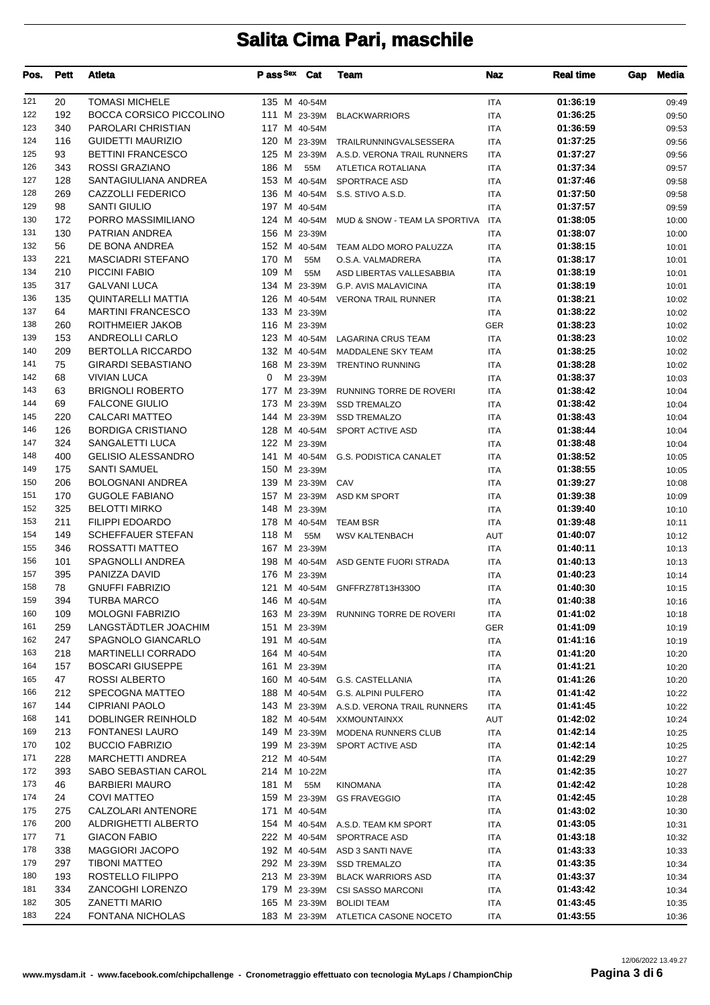| Pos.       | <b>Pett</b> | Atleta                                     | Pass Sex Cat     |          | Team                                                     | Naz                      | <b>Real time</b>     | Gap | <b>Media</b>   |
|------------|-------------|--------------------------------------------|------------------|----------|----------------------------------------------------------|--------------------------|----------------------|-----|----------------|
| 121        | 20          | <b>TOMASI MICHELE</b>                      | 135 M 40-54M     |          |                                                          | ITA                      | 01:36:19             |     | 09:49          |
| 122        | 192         | BOCCA CORSICO PICCOLINO                    | 111 M 23-39M     |          | <b>BLACKWARRIORS</b>                                     | <b>ITA</b>               | 01:36:25             |     | 09:50          |
| 123        | 340         | PAROLARI CHRISTIAN                         | 117 M 40-54M     |          |                                                          | ITA                      | 01:36:59             |     | 09:53          |
| 124        | 116         | <b>GUIDETTI MAURIZIO</b>                   |                  |          | 120 M 23-39M TRAILRUNNINGVALSESSERA                      | ITA                      | 01:37:25             |     | 09:56          |
| 125        | 93          | <b>BETTINI FRANCESCO</b>                   |                  |          | 125 M 23-39M A.S.D. VERONA TRAIL RUNNERS                 | <b>ITA</b>               | 01:37:27             |     | 09:56          |
| 126        | 343         | ROSSI GRAZIANO                             | 186 M            | 55M      | ATLETICA ROTALIANA                                       | ITA                      | 01:37:34             |     | 09:57          |
| 127        | 128         | SANTAGIULIANA ANDREA                       | 153 M 40-54M     |          | SPORTRACE ASD                                            | ITA                      | 01:37:46             |     | 09:58          |
| 128        | 269         | CAZZOLLI FEDERICO                          | 136 M 40-54M     |          | S.S. STIVO A.S.D.                                        | <b>ITA</b>               | 01:37:50             |     | 09:58          |
| 129        | 98          | <b>SANTI GIULIO</b>                        | 197 M 40-54M     |          |                                                          | <b>ITA</b>               | 01:37:57             |     | 09:59          |
| 130        | 172         | PORRO MASSIMILIANO                         |                  |          | 124 M 40-54M MUD & SNOW - TEAM LA SPORTIVA               | <b>ITA</b>               | 01:38:05             |     | 10:00          |
| 131<br>132 | 130         | PATRIAN ANDREA                             | 156 M 23-39M     |          |                                                          | <b>ITA</b>               | 01:38:07             |     | 10:00          |
| 133        | 56<br>221   | DE BONA ANDREA<br><b>MASCIADRI STEFANO</b> | 170 M            | 55M      | 152 M 40-54M TEAM ALDO MORO PALUZZA<br>O.S.A. VALMADRERA | ITA<br><b>ITA</b>        | 01:38:15<br>01:38:17 |     | 10:01<br>10:01 |
| 134        | 210         | PICCINI FABIO                              | 109 M            | 55M      | ASD LIBERTAS VALLESABBIA                                 | <b>ITA</b>               | 01:38:19             |     | 10:01          |
| 135        | 317         | <b>GALVANI LUCA</b>                        |                  |          | 134 M 23-39M G.P. AVIS MALAVICINA                        | ITA                      | 01:38:19             |     | 10:01          |
| 136        | 135         | <b>QUINTARELLI MATTIA</b>                  |                  |          | 126 M 40-54M VERONA TRAIL RUNNER                         | ITA                      | 01:38:21             |     | 10:02          |
| 137        | 64          | <b>MARTINI FRANCESCO</b>                   | 133 M 23-39M     |          |                                                          | <b>ITA</b>               | 01:38:22             |     | 10:02          |
| 138        | 260         | ROITHMEIER JAKOB                           | 116 M 23-39M     |          |                                                          | <b>GER</b>               | 01:38:23             |     | 10:02          |
| 139        | 153         | <b>ANDREOLLI CARLO</b>                     |                  |          | 123 M 40-54M LAGARINA CRUS TEAM                          | ITA                      | 01:38:23             |     | 10:02          |
| 140        | 209         | <b>BERTOLLA RICCARDO</b>                   | 132 M 40-54M     |          | <b>MADDALENE SKY TEAM</b>                                | <b>ITA</b>               | 01:38:25             |     | 10:02          |
| 141        | 75          | <b>GIRARDI SEBASTIANO</b>                  |                  |          | 168 M 23-39M TRENTINO RUNNING                            | <b>ITA</b>               | 01:38:28             |     | 10:02          |
| 142        | 68          | <b>VIVIAN LUCA</b>                         | 0                | M 23-39M |                                                          | ITA                      | 01:38:37             |     | 10:03          |
| 143        | 63          | <b>BRIGNOLI ROBERTO</b>                    | 177 M 23-39M     |          | RUNNING TORRE DE ROVERI                                  | <b>ITA</b>               | 01:38:42             |     | 10:04          |
| 144        | 69          | <b>FALCONE GIULIO</b>                      | 173 M 23-39M     |          | <b>SSD TREMALZO</b>                                      | ITA                      | 01:38:42             |     | 10:04          |
| 145        | 220         | <b>CALCARI MATTEO</b>                      | 144 M 23-39M     |          | <b>SSD TREMALZO</b>                                      | ITA                      | 01:38:43             |     | 10:04          |
| 146        | 126         | <b>BORDIGA CRISTIANO</b>                   | 128 M 40-54M     |          | SPORT ACTIVE ASD                                         | <b>ITA</b>               | 01:38:44             |     | 10:04          |
| 147        | 324         | SANGALETTI LUCA                            | 122 M 23-39M     |          |                                                          | ITA                      | 01:38:48             |     | 10:04          |
| 148        | 400         | <b>GELISIO ALESSANDRO</b>                  |                  |          | 141 M 40-54M G.S. PODISTICA CANALET                      | ITA                      | 01:38:52             |     | 10:05          |
| 149        | 175         | <b>SANTI SAMUEL</b>                        | 150 M 23-39M     |          |                                                          | <b>ITA</b>               | 01:38:55             |     | 10:05          |
| 150        | 206         | <b>BOLOGNANI ANDREA</b>                    | 139 M 23-39M CAV |          |                                                          | ITA                      | 01:39:27             |     | 10:08          |
| 151        | 170         | <b>GUGOLE FABIANO</b>                      |                  |          | 157 M 23-39M ASD KM SPORT                                | ITA                      | 01:39:38             |     | 10:09          |
| 152        | 325         | <b>BELOTTI MIRKO</b>                       | 148 M 23-39M     |          |                                                          | <b>ITA</b>               | 01:39:40             |     | 10:10          |
| 153        | 211         | <b>FILIPPI EDOARDO</b>                     |                  |          | 178 M 40-54M TEAM BSR                                    | ITA                      | 01:39:48             |     | 10:11          |
| 154        | 149         | <b>SCHEFFAUER STEFAN</b>                   | 118 M            | 55M      | <b>WSV KALTENBACH</b>                                    | AUT                      | 01:40:07             |     | 10:12          |
| 155        | 346         | ROSSATTI MATTEO                            | 167 M 23-39M     |          |                                                          | <b>ITA</b>               | 01:40:11             |     | 10:13          |
| 156        | 101         | SPAGNOLLI ANDREA                           |                  |          | 198 M 40-54M ASD GENTE FUORI STRADA                      | ITA                      | 01:40:13             |     | 10:13          |
| 157<br>158 | 395<br>78   | PANIZZA DAVID<br><b>GNUFFI FABRIZIO</b>    | 176 M 23-39M     |          |                                                          | <b>ITA</b>               | 01:40:23<br>01:40:30 |     | 10:14          |
| 159        | 394         | <b>TURBA MARCO</b>                         | 146 M 40-54M     |          | 121 M 40-54M GNFFRZ78T13H330O                            | <b>ITA</b><br><b>ITA</b> | 01:40:38             |     | 10:15<br>10:16 |
| 160        | 109         | <b>MOLOGNI FABRIZIO</b>                    |                  |          | 163 M 23-39M RUNNING TORRE DE ROVERI                     | ITA                      | 01:41:02             |     | 10:18          |
| 161        | 259         | LANGSTADTLER JOACHIM                       | 151 M 23-39M     |          |                                                          | GER                      | 01:41:09             |     | 10:19          |
| 162        | 247         | SPAGNOLO GIANCARLO                         | 191 M 40-54M     |          |                                                          | ITA                      | 01:41:16             |     | 10:19          |
| 163        | 218         | <b>MARTINELLI CORRADO</b>                  | 164 M 40-54M     |          |                                                          | ITA                      | 01:41:20             |     | 10:20          |
| 164        | 157         | <b>BOSCARI GIUSEPPE</b>                    | 161 M 23-39M     |          |                                                          | ITA                      | 01:41:21             |     | 10:20          |
| 165        | 47          | ROSSI ALBERTO                              |                  |          | 160 M 40-54M G.S. CASTELLANIA                            | <b>ITA</b>               | 01:41:26             |     | 10:20          |
| 166        | 212         | SPECOGNA MATTEO                            |                  |          | 188 M 40-54M G.S. ALPINI PULFERO                         | ITA                      | 01:41:42             |     | 10:22          |
| 167        | 144         | <b>CIPRIANI PAOLO</b>                      |                  |          | 143 M 23-39M A.S.D. VERONA TRAIL RUNNERS                 | ITA                      | 01:41:45             |     | 10:22          |
| 168        | 141         | DOBLINGER REINHOLD                         |                  |          | 182 M 40-54M XXMOUNTAINXX                                | AUT                      | 01:42:02             |     | 10:24          |
| 169        | 213         | <b>FONTANESI LAURO</b>                     | 149 M 23-39M     |          | <b>MODENA RUNNERS CLUB</b>                               | ITA                      | 01:42:14             |     | 10:25          |
| 170        | 102         | <b>BUCCIO FABRIZIO</b>                     |                  |          | 199 M 23-39M SPORT ACTIVE ASD                            | ITA                      | 01:42:14             |     | 10:25          |
| 171        | 228         | MARCHETTI ANDREA                           | 212 M 40-54M     |          |                                                          | <b>ITA</b>               | 01:42:29             |     | 10:27          |
| 172        | 393         | SABO SEBASTIAN CAROL                       | 214 M 10-22M     |          |                                                          | ITA                      | 01:42:35             |     | 10:27          |
| 173        | 46          | <b>BARBIERI MAURO</b>                      | 181 M            | 55M      | <b>KINOMANA</b>                                          | ITA                      | 01:42:42             |     | 10:28          |
| 174        | 24          | <b>COVI MATTEO</b>                         | 159 M 23-39M     |          | <b>GS FRAVEGGIO</b>                                      | ITA                      | 01:42:45             |     | 10:28          |
| 175        | 275         | CALZOLARI ANTENORE                         | 171 M 40-54M     |          |                                                          | ITA                      | 01:43:02             |     | 10:30          |
| 176        | 200         | ALDRIGHETTI ALBERTO                        |                  |          | 154 M 40-54M A.S.D. TEAM KM SPORT                        | ITA                      | 01:43:05             |     | 10:31          |
| 177        | 71          | <b>GIACON FABIO</b>                        |                  |          | 222 M 40-54M SPORTRACE ASD                               | <b>ITA</b>               | 01:43:18             |     | 10:32          |
| 178        | 338         | <b>MAGGIORI JACOPO</b>                     |                  |          | 192 M 40-54M ASD 3 SANTI NAVE                            | ITA                      | 01:43:33             |     | 10:33          |
| 179        | 297         | TIBONI MATTEO                              | 292 M 23-39M     |          | <b>SSD TREMALZO</b>                                      | ITA                      | 01:43:35             |     | 10:34          |
| 180        | 193         | ROSTELLO FILIPPO                           | 213 M 23-39M     |          | <b>BLACK WARRIORS ASD</b>                                | ITA                      | 01:43:37             |     | 10:34          |
| 181        | 334         | ZANCOGHI LORENZO                           |                  |          | 179 M 23-39M CSI SASSO MARCONI                           | ITA                      | 01:43:42             |     | 10:34          |
| 182        | 305         | ZANETTI MARIO                              | 165 M 23-39M     |          | <b>BOLIDI TEAM</b>                                       | ITA                      | 01:43:45             |     | 10:35          |
| 183        | 224         | <b>FONTANA NICHOLAS</b>                    | 183 M 23-39M     |          | ATLETICA CASONE NOCETO                                   | ITA                      | 01:43:55             |     | 10:36          |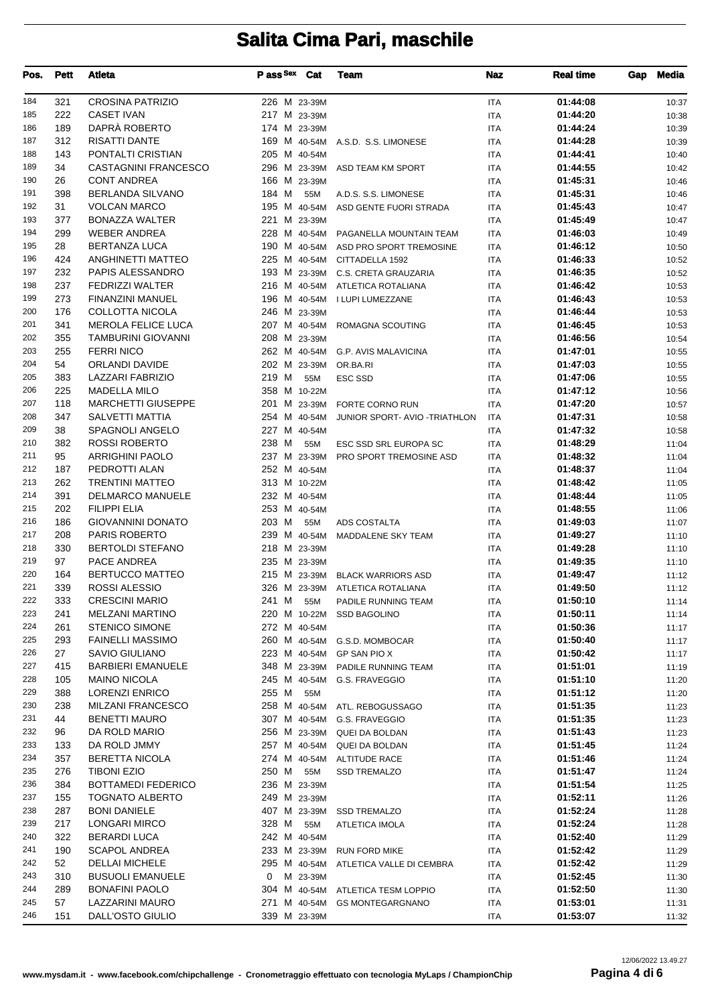| Pos.       | <b>Pett</b> | <b>Atleta</b>                                     | Pass Sex Cat          |          | Team                                  | <b>Naz</b>               | <b>Real time</b>     | Gap | <b>Media</b>   |
|------------|-------------|---------------------------------------------------|-----------------------|----------|---------------------------------------|--------------------------|----------------------|-----|----------------|
| 184        | 321         | <b>CROSINA PATRIZIO</b>                           | 226 M 23-39M          |          |                                       | <b>ITA</b>               | 01:44:08             |     | 10:37          |
| 185        | 222         | <b>CASET IVAN</b>                                 | 217 M 23-39M          |          |                                       | <b>ITA</b>               | 01:44:20             |     | 10:38          |
| 186        | 189         | DAPRÀ ROBERTO                                     | 174 M 23-39M          |          |                                       | <b>ITA</b>               | 01:44:24             |     | 10:39          |
| 187        | 312         | <b>RISATTI DANTE</b>                              |                       |          | 169 M 40-54M A.S.D. S.S. LIMONESE     | <b>ITA</b>               | 01:44:28             |     | 10:39          |
| 188        | 143         | PONTALTI CRISTIAN                                 | 205 M 40-54M          |          |                                       | <b>ITA</b>               | 01:44:41             |     | 10:40          |
| 189        | 34          | <b>CASTAGNINI FRANCESCO</b>                       | 296 M 23-39M          |          | ASD TEAM KM SPORT                     | <b>ITA</b>               | 01:44:55             |     | 10:42          |
| 190        | 26          | <b>CONT ANDREA</b>                                | 166 M 23-39M          |          |                                       | <b>ITA</b>               | 01:45:31             |     | 10:46          |
| 191        | 398         | <b>BERLANDA SILVANO</b>                           | 184 M                 | 55M      | A.D.S. S.S. LIMONESE                  | <b>ITA</b>               | 01:45:31             |     | 10:46          |
| 192        | 31          | <b>VOLCAN MARCO</b>                               |                       |          | 195 M 40-54M ASD GENTE FUORI STRADA   | <b>ITA</b>               | 01:45:43             |     | 10:47          |
| 193        | 377         | <b>BONAZZA WALTER</b>                             | 221 M 23-39M          |          |                                       | <b>ITA</b>               | 01:45:49             |     | 10:47          |
| 194        | 299         | <b>WEBER ANDREA</b>                               |                       |          | 228 M 40-54M PAGANELLA MOUNTAIN TEAM  | <b>ITA</b>               | 01:46:03             |     | 10:49          |
| 195        | 28          | <b>BERTANZA LUCA</b>                              | 190 M 40-54M          |          | ASD PRO SPORT TREMOSINE               | ITA                      | 01:46:12             |     | 10:50          |
| 196        | 424         | ANGHINETTI MATTEO                                 | 225 M 40-54M          |          | CITTADELLA 1592                       | <b>ITA</b>               | 01:46:33             |     | 10:52          |
| 197        | 232         | PAPIS ALESSANDRO                                  |                       |          | 193 M 23-39M C.S. CRETA GRAUZARIA     | <b>ITA</b>               | 01:46:35             |     | 10:52          |
| 198<br>199 | 237         | <b>FEDRIZZI WALTER</b>                            | 216 M 40-54M          |          | ATLETICA ROTALIANA                    | ITA                      | 01:46:42             |     | 10:53          |
| 200        | 273<br>176  | <b>FINANZINI MANUEL</b><br><b>COLLOTTA NICOLA</b> | 246 M 23-39M          |          | 196 M 40-54M I LUPI LUMEZZANE         | <b>ITA</b>               | 01:46:43<br>01:46:44 |     | 10:53          |
| 201        | 341         | <b>MEROLA FELICE LUCA</b>                         | 207 M 40-54M          |          |                                       | <b>ITA</b>               | 01:46:45             |     | 10:53          |
| 202        | 355         | <b>TAMBURINI GIOVANNI</b>                         | 208 M 23-39M          |          | ROMAGNA SCOUTING                      | <b>ITA</b><br><b>ITA</b> | 01:46:56             |     | 10:53<br>10:54 |
| 203        | 255         | <b>FERRI NICO</b>                                 |                       |          | 262 M 40-54M G.P. AVIS MALAVICINA     | <b>ITA</b>               | 01:47:01             |     | 10:55          |
| 204        | 54          | ORLANDI DAVIDE                                    | 202 M 23-39M          |          | OR BA RI                              | <b>ITA</b>               | 01:47:03             |     | 10:55          |
| 205        | 383         | LAZZARI FABRIZIO                                  | 219 M                 | 55M      | <b>ESC SSD</b>                        | <b>ITA</b>               | 01:47:06             |     | 10:55          |
| 206        | 225         | <b>MADELLA MILO</b>                               | 358 M 10-22M          |          |                                       | <b>ITA</b>               | 01:47:12             |     | 10:56          |
| 207        | 118         | <b>MARCHETTI GIUSEPPE</b>                         | 201 M 23-39M          |          | FORTE CORNO RUN                       | <b>ITA</b>               | 01:47:20             |     | 10:57          |
| 208        | 347         | SALVETTI MATTIA                                   | 254 M 40-54M          |          | JUNIOR SPORT- AVIO -TRIATHLON         | <b>ITA</b>               | 01:47:31             |     | 10:58          |
| 209        | 38          | SPAGNOLI ANGELO                                   | 227 M 40-54M          |          |                                       | <b>ITA</b>               | 01:47:32             |     | 10:58          |
| 210        | 382         | <b>ROSSI ROBERTO</b>                              | 238 M                 | 55M      | ESC SSD SRL EUROPA SC                 | ITA                      | 01:48:29             |     | 11:04          |
| 211        | 95          | <b>ARRIGHINI PAOLO</b>                            | 237 M 23-39M          |          | PRO SPORT TREMOSINE ASD               | <b>ITA</b>               | 01:48:32             |     | 11:04          |
| 212        | 187         | PEDROTTI ALAN                                     | 252 M 40-54M          |          |                                       | <b>ITA</b>               | 01:48:37             |     | 11:04          |
| 213        | 262         | <b>TRENTINI MATTEO</b>                            | 313 M 10-22M          |          |                                       | <b>ITA</b>               | 01:48:42             |     | 11:05          |
| 214        | 391         | <b>DELMARCO MANUELE</b>                           | 232 M 40-54M          |          |                                       | <b>ITA</b>               | 01:48:44             |     | 11:05          |
| 215        | 202         | <b>FILIPPI ELIA</b>                               | 253 M 40-54M          |          |                                       | <b>ITA</b>               | 01:48:55             |     | 11:06          |
| 216        | 186         | <b>GIOVANNINI DONATO</b>                          | 203 M                 | 55M      | ADS COSTALTA                          | <b>ITA</b>               | 01:49:03             |     | 11:07          |
| 217        | 208         | <b>PARIS ROBERTO</b>                              | 239 M 40-54M          |          | MADDALENE SKY TEAM                    | <b>ITA</b>               | 01:49:27             |     | 11:10          |
| 218        | 330         | <b>BERTOLDI STEFANO</b>                           | 218 M 23-39M          |          |                                       | <b>ITA</b>               | 01:49:28             |     | 11:10          |
| 219        | 97          | PACE ANDREA                                       | 235 M 23-39M          |          |                                       | <b>ITA</b>               | 01:49:35             |     | 11:10          |
| 220        | 164         | <b>BERTUCCO MATTEO</b>                            |                       |          | 215 M 23-39M BLACK WARRIORS ASD       | <b>ITA</b>               | 01:49:47             |     | 11:12          |
| 221        | 339         | ROSSI ALESSIO                                     |                       |          | 326 M 23-39M ATLETICA ROTALIANA       | <b>ITA</b>               | 01:49:50             |     | 11:12          |
| 222        | 333         | <b>CRESCINI MARIO</b>                             | 241 M                 | 55M      | PADILE RUNNING TEAM                   | ITA                      | 01:50:10             |     | 11:14          |
| 223        | 241         | <b>MELZANI MARTINO</b>                            |                       |          | 220 M 10-22M SSD BAGOLINO             | ITA                      | 01:50:11             |     | 11:14          |
| 224        | 261         | <b>STENICO SIMONE</b>                             | 272 M 40-54M          |          |                                       | ITA                      | 01:50:36             |     | 11:17          |
| 225        | 293         | <b>FAINELLI MASSIMO</b>                           |                       |          | 260 M 40-54M G.S.D. MOMBOCAR          | ITA                      | 01:50:40             |     | 11:17          |
| 226        | 27          | <b>SAVIO GIULIANO</b>                             |                       |          | 223 M 40-54M GP SAN PIO X             | ITA                      | 01:50:42             |     | 11:17          |
| 227        | 415         | <b>BARBIERI EMANUELE</b>                          |                       |          | 348 M 23-39M PADILE RUNNING TEAM      | ITA                      | 01:51:01             |     | 11:19          |
| 228        | 105         | <b>MAINO NICOLA</b>                               | 245 M 40-54M          |          | G.S. FRAVEGGIO                        | <b>ITA</b>               | 01:51:10             |     | 11:20          |
| 229        | 388         | <b>LORENZI ENRICO</b>                             | 255 M                 | 55M      |                                       | ITA                      | 01:51:12             |     | 11:20          |
| 230        | 238         | <b>MILZANI FRANCESCO</b>                          |                       |          | 258 M 40-54M ATL. REBOGUSSAGO         | ITA                      | 01:51:35             |     | 11:23          |
| 231        | 44          | <b>BENETTI MAURO</b>                              |                       |          | 307 M 40-54M G.S. FRAVEGGIO           | ITA                      | 01:51:35             |     | 11:23          |
| 232        | 96          | DA ROLD MARIO                                     |                       |          | 256 M 23-39M QUEI DA BOLDAN           | ITA                      | 01:51:43             |     | 11:23          |
| 233        | 133         | DA ROLD JMMY                                      | 257 M 40-54M          |          | QUEI DA BOLDAN                        | ITA                      | 01:51:45             |     | 11:24          |
| 234        | 357         | <b>BERETTA NICOLA</b>                             | 274 M 40-54M          |          | ALTITUDE RACE                         | ITA                      | 01:51:46             |     | 11:24          |
| 235        | 276         | <b>TIBONI EZIO</b>                                | 250 M                 | 55M      | <b>SSD TREMALZO</b>                   | <b>ITA</b>               | 01:51:47             |     | 11:24          |
| 236        | 384         | <b>BOTTAMEDI FEDERICO</b>                         | 236 M 23-39M          |          |                                       | ITA                      | 01:51:54             |     | 11:25          |
| 237        | 155         | TOGNATO ALBERTO                                   | 249 M 23-39M          |          |                                       | ITA                      | 01:52:11             |     | 11:26          |
| 238<br>239 | 287         | <b>BONI DANIELE</b>                               |                       |          | 407 M 23-39M SSD TREMALZO             | ITA                      | 01:52:24             |     | 11:28          |
| 240        | 217<br>322  | LONGARI MIRCO<br><b>BERARDI LUCA</b>              | 328 M<br>242 M 40-54M | 55M      | ATLETICA IMOLA                        | ITA                      | 01:52:24<br>01:52:40 |     | 11:28          |
| 241        | 190         | <b>SCAPOL ANDREA</b>                              |                       |          | 233 M 23-39M RUN FORD MIKE            | ITA<br>ITA               | 01:52:42             |     | 11:29<br>11:29 |
| 242        | 52          | <b>DELLAI MICHELE</b>                             |                       |          | 295 M 40-54M ATLETICA VALLE DI CEMBRA | ITA                      | 01:52:42             |     | 11:29          |
| 243        | 310         | <b>BUSUOLI EMANUELE</b>                           | 0                     | M 23-39M |                                       | ITA                      | 01:52:45             |     | 11:30          |
| 244        | 289         | <b>BONAFINI PAOLO</b>                             |                       |          | 304 M 40-54M ATLETICA TESM LOPPIO     | <b>ITA</b>               | 01:52:50             |     | 11:30          |
| 245        | 57          | LAZZARINI MAURO                                   |                       |          | 271 M 40-54M GS MONTEGARGNANO         | ITA                      | 01:53:01             |     | 11:31          |
| 246        | 151         | DALL'OSTO GIULIO                                  | 339 M 23-39M          |          |                                       | ITA                      | 01:53:07             |     | 11:32          |
|            |             |                                                   |                       |          |                                       |                          |                      |     |                |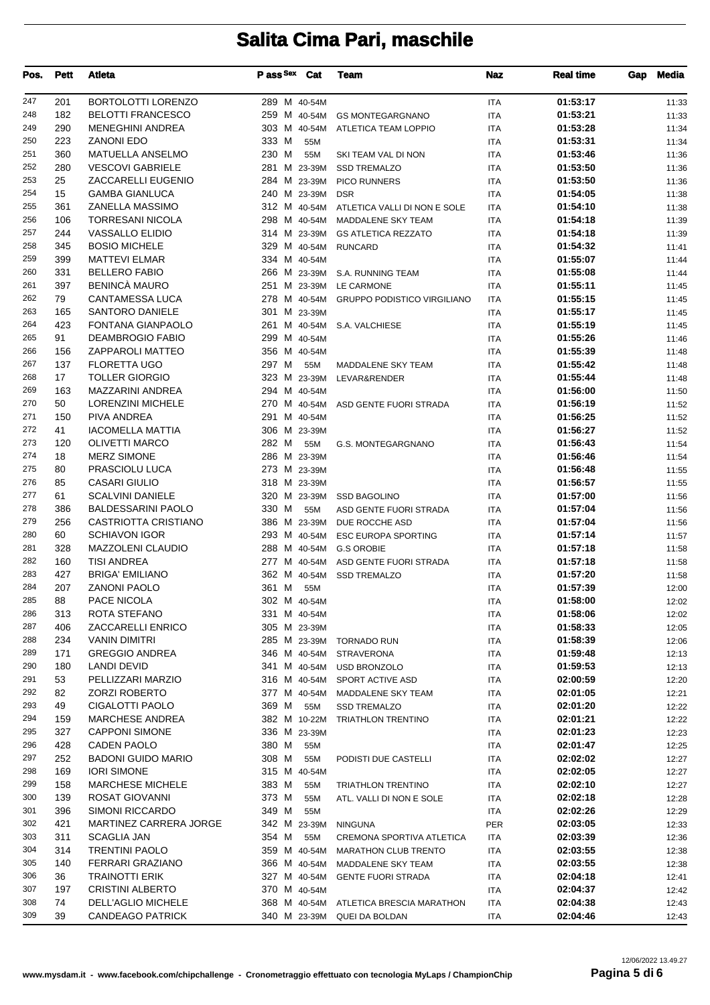| Pos. | <b>Pett</b> | <b>Atleta</b>                 | P ass Sex    | Cat          | Team                                     | Naz        | <b>Real time</b> | Gap | <b>Media</b> |
|------|-------------|-------------------------------|--------------|--------------|------------------------------------------|------------|------------------|-----|--------------|
| 247  | 201         | <b>BORTOLOTTI LORENZO</b>     | 289 M 40-54M |              |                                          | <b>ITA</b> | 01:53:17         |     | 11:33        |
| 248  | 182         | <b>BELOTTI FRANCESCO</b>      |              | 259 M 40-54M | <b>GS MONTEGARGNANO</b>                  | <b>ITA</b> | 01:53:21         |     | 11:33        |
| 249  | 290         | <b>MENEGHINI ANDREA</b>       | 303 M 40-54M |              | ATLETICA TEAM LOPPIO                     | <b>ITA</b> | 01:53:28         |     | 11:34        |
| 250  | 223         | <b>ZANONI EDO</b>             | 333 M        | 55M          |                                          | <b>ITA</b> | 01:53:31         |     | 11:34        |
| 251  | 360         | <b>MATUELLA ANSELMO</b>       | 230 M        | 55M          | SKI TEAM VAL DI NON                      | <b>ITA</b> | 01:53:46         |     | 11:36        |
| 252  | 280         | <b>VESCOVI GABRIELE</b>       |              | 281 M 23-39M | <b>SSD TREMALZO</b>                      | <b>ITA</b> | 01:53:50         |     | 11:36        |
| 253  | 25          | ZACCARELLI EUGENIO            | 284 M 23-39M |              | PICO RUNNERS                             | <b>ITA</b> | 01:53:50         |     | 11:36        |
| 254  | 15          | <b>GAMBA GIANLUCA</b>         |              | 240 M 23-39M | <b>DSR</b>                               | <b>ITA</b> | 01:54:05         |     | 11:38        |
| 255  | 361         | ZANELLA MASSIMO               |              | 312 M 40-54M | ATLETICA VALLI DI NON E SOLE             | <b>ITA</b> | 01:54:10         |     | 11:38        |
| 256  | 106         | <b>TORRESANI NICOLA</b>       | 298 M 40-54M |              | MADDALENE SKY TEAM                       | <b>ITA</b> | 01:54:18         |     | 11:39        |
| 257  | 244         | <b>VASSALLO ELIDIO</b>        |              |              | 314 M 23-39M GS ATLETICA REZZATO         | <b>ITA</b> | 01:54:18         |     | 11:39        |
| 258  | 345         | <b>BOSIO MICHELE</b>          |              | 329 M 40-54M | <b>RUNCARD</b>                           | <b>ITA</b> | 01:54:32         |     | 11:41        |
| 259  | 399         | <b>MATTEVI ELMAR</b>          | 334 M 40-54M |              |                                          | <b>ITA</b> | 01:55:07         |     | 11:44        |
| 260  | 331         | <b>BELLERO FABIO</b>          |              |              | 266 M 23-39M S.A. RUNNING TEAM           | <b>ITA</b> | 01:55:08         |     | 11:44        |
| 261  | 397         | <b>BENINCÀ MAURO</b>          |              | 251 M 23-39M | LE CARMONE                               | <b>ITA</b> | 01:55:11         |     | 11:45        |
| 262  | 79          | <b>CANTAMESSA LUCA</b>        |              |              | 278 M 40-54M GRUPPO PODISTICO VIRGILIANO | <b>ITA</b> | 01:55:15         |     | 11:45        |
| 263  | 165         | <b>SANTORO DANIELE</b>        | 301 M 23-39M |              |                                          | <b>ITA</b> | 01:55:17         |     | 11:45        |
| 264  | 423         | <b>FONTANA GIANPAOLO</b>      |              |              | 261 M 40-54M S.A. VALCHIESE              | <b>ITA</b> | 01:55:19         |     | 11:45        |
| 265  | 91          | <b>DEAMBROGIO FABIO</b>       | 299 M 40-54M |              |                                          | <b>ITA</b> | 01:55:26         |     | 11:46        |
| 266  | 156         | ZAPPAROLI MATTEO              | 356 M 40-54M |              |                                          | <b>ITA</b> | 01:55:39         |     | 11:48        |
| 267  | 137         | <b>FLORETTA UGO</b>           | 297 M        | 55M          | MADDALENE SKY TEAM                       | <b>ITA</b> | 01:55:42         |     | 11:48        |
| 268  | 17          | <b>TOLLER GIORGIO</b>         |              | 323 M 23-39M | LEVAR&RENDER                             | <b>ITA</b> | 01:55:44         |     | 11:48        |
| 269  | 163         | MAZZARINI ANDREA              | 294 M 40-54M |              |                                          | <b>ITA</b> | 01:56:00         |     | 11:50        |
| 270  | 50          | <b>LORENZINI MICHELE</b>      |              |              | 270 M 40-54M ASD GENTE FUORI STRADA      | <b>ITA</b> | 01:56:19         |     | 11:52        |
| 271  | 150         | PIVA ANDREA                   | 291 M 40-54M |              |                                          | <b>ITA</b> | 01:56:25         |     | 11:52        |
| 272  | 41          | <b>IACOMELLA MATTIA</b>       | 306 M 23-39M |              |                                          | <b>ITA</b> | 01:56:27         |     | 11:52        |
| 273  | 120         | <b>OLIVETTI MARCO</b>         | 282 M        | 55M          | G.S. MONTEGARGNANO                       | <b>ITA</b> | 01:56:43         |     | 11:54        |
| 274  | 18          | <b>MERZ SIMONE</b>            | 286 M 23-39M |              |                                          | <b>ITA</b> | 01:56:46         |     | 11:54        |
| 275  | 80          | PRASCIOLU LUCA                | 273 M 23-39M |              |                                          | <b>ITA</b> | 01:56:48         |     | 11:55        |
| 276  | 85          | <b>CASARI GIULIO</b>          | 318 M 23-39M |              |                                          | <b>ITA</b> | 01:56:57         |     | 11:55        |
| 277  | 61          | <b>SCALVINI DANIELE</b>       |              |              | 320 M 23-39M SSD BAGOLINO                | <b>ITA</b> | 01:57:00         |     | 11:56        |
| 278  | 386         | <b>BALDESSARINI PAOLO</b>     | 330 M        | 55M          | ASD GENTE FUORI STRADA                   | <b>ITA</b> | 01:57:04         |     | 11:56        |
| 279  | 256         | CASTRIOTTA CRISTIANO          | 386 M 23-39M |              | DUE ROCCHE ASD                           | <b>ITA</b> | 01:57:04         |     | 11:56        |
| 280  | 60          | <b>SCHIAVON IGOR</b>          |              | 293 M 40-54M | <b>ESC EUROPA SPORTING</b>               | ITA        | 01:57:14         |     | 11:57        |
| 281  | 328         | <b>MAZZOLENI CLAUDIO</b>      |              |              | 288 M 40-54M G.S OROBIE                  | <b>ITA</b> | 01:57:18         |     | 11:58        |
| 282  | 160         | <b>TISI ANDREA</b>            |              |              | 277 M 40-54M ASD GENTE FUORI STRADA      | <b>ITA</b> | 01:57:18         |     | 11:58        |
| 283  | 427         | <b>BRIGA' EMILIANO</b>        |              | 362 M 40-54M | <b>SSD TREMALZO</b>                      | <b>ITA</b> | 01:57:20         |     | 11:58        |
| 284  | 207         | <b>ZANONI PAOLO</b>           | 361 M        | 55M          |                                          | <b>ITA</b> | 01:57:39         |     | 12:00        |
| 285  | 88          | PACE NICOLA                   | 302 M 40-54M |              |                                          | <b>ITA</b> | 01:58:00         |     | 12:02        |
| 286  | 313         | ROTA STEFANO                  | 331 M 40-54M |              |                                          | ITA        | 01:58:06         |     | 12:02        |
| 287  | 406         | <b>ZACCARELLI ENRICO</b>      | 305 M 23-39M |              |                                          | <b>ITA</b> | 01:58:33         |     | 12:05        |
| 288  | 234         | <b>VANIN DIMITRI</b>          |              |              | 285 M 23-39M TORNADO RUN                 | ITA        | 01:58:39         |     | 12:06        |
| 289  | 171         | <b>GREGGIO ANDREA</b>         |              | 346 M 40-54M | <b>STRAVERONA</b>                        | ITA        | 01:59:48         |     | 12:13        |
| 290  | 180         | LANDI DEVID                   |              | 341 M 40-54M | <b>USD BRONZOLO</b>                      | ITA        | 01:59:53         |     | 12:13        |
| 291  | 53          | PELLIZZARI MARZIO             | 316 M 40-54M |              | SPORT ACTIVE ASD                         | <b>ITA</b> | 02:00:59         |     | 12:20        |
| 292  | 82          | <b>ZORZI ROBERTO</b>          |              |              | 377 M 40-54M MADDALENE SKY TEAM          | <b>ITA</b> | 02:01:05         |     | 12:21        |
| 293  | 49          | <b>CIGALOTTI PAOLO</b>        | 369 M        | 55M          | <b>SSD TREMALZO</b>                      | <b>ITA</b> | 02:01:20         |     | 12:22        |
| 294  | 159         | <b>MARCHESE ANDREA</b>        | 382 M 10-22M |              | <b>TRIATHLON TRENTINO</b>                | ITA        | 02:01:21         |     | 12:22        |
| 295  | 327         | <b>CAPPONI SIMONE</b>         | 336 M 23-39M |              |                                          | <b>ITA</b> | 02:01:23         |     | 12:23        |
| 296  | 428         | <b>CADEN PAOLO</b>            | 380 M        | 55M          |                                          | <b>ITA</b> | 02:01:47         |     | 12:25        |
| 297  | 252         | <b>BADONI GUIDO MARIO</b>     | 308 M        | 55M          | PODISTI DUE CASTELLI                     | ITA        | 02:02:02         |     | 12:27        |
| 298  | 169         | <b>IORI SIMONE</b>            | 315 M 40-54M |              |                                          | <b>ITA</b> | 02:02:05         |     | 12:27        |
| 299  | 158         | <b>MARCHESE MICHELE</b>       | 383 M        | 55M          | <b>TRIATHLON TRENTINO</b>                | <b>ITA</b> | 02:02:10         |     | 12:27        |
| 300  | 139         | ROSAT GIOVANNI                | 373 M        | 55M          | ATL. VALLI DI NON E SOLE                 | ITA        | 02:02:18         |     | 12:28        |
| 301  | 396         | <b>SIMONI RICCARDO</b>        | 349 M        | 55M          |                                          | ITA        | 02:02:26         |     | 12:29        |
| 302  | 421         | <b>MARTINEZ CARRERA JORGE</b> | 342 M 23-39M |              | <b>NINGUNA</b>                           | <b>PER</b> | 02:03:05         |     | 12:33        |
| 303  | 311         | <b>SCAGLIA JAN</b>            | 354 M        | 55M          | CREMONA SPORTIVA ATLETICA                | <b>ITA</b> | 02:03:39         |     | 12:36        |
| 304  | 314         | <b>TRENTINI PAOLO</b>         |              | 359 M 40-54M | <b>MARATHON CLUB TRENTO</b>              | <b>ITA</b> | 02:03:55         |     | 12:38        |
| 305  | 140         | FERRARI GRAZIANO              |              |              | 366 M 40-54M MADDALENE SKY TEAM          | <b>ITA</b> | 02:03:55         |     | 12:38        |
| 306  | 36          | <b>TRAINOTTI ERIK</b>         |              | 327 M 40-54M | <b>GENTE FUORI STRADA</b>                | ITA        | 02:04:18         |     | 12:41        |
| 307  | 197         | <b>CRISTINI ALBERTO</b>       | 370 M 40-54M |              |                                          | ITA        | 02:04:37         |     | 12:42        |
| 308  | 74          | DELL'AGLIO MICHELE            |              |              | 368 M 40-54M ATLETICA BRESCIA MARATHON   | <b>ITA</b> | 02:04:38         |     | 12:43        |
| 309  | 39          | <b>CANDEAGO PATRICK</b>       |              | 340 M 23-39M | QUEI DA BOLDAN                           | ITA        | 02:04:46         |     | 12:43        |